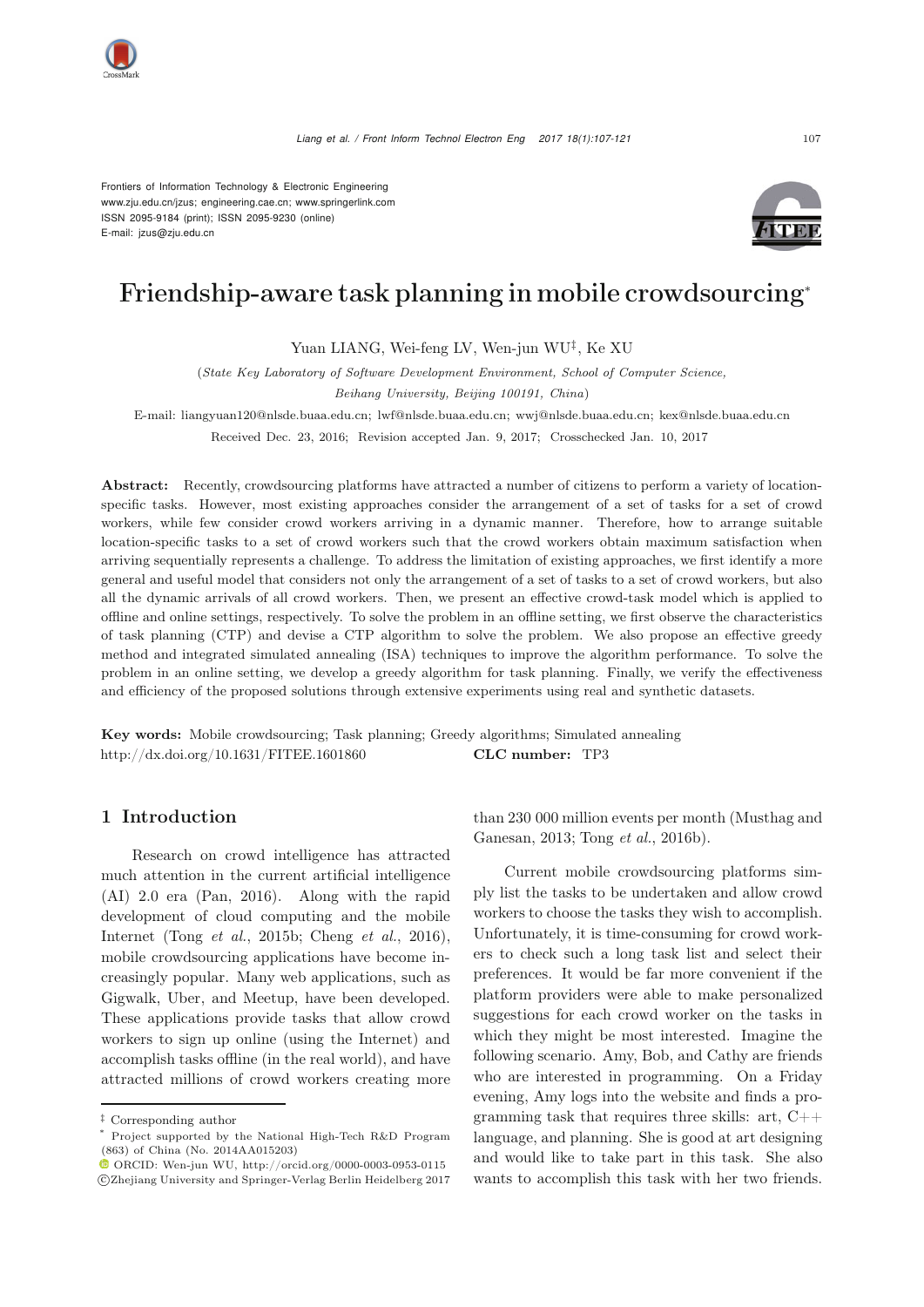Frontiers of Information Technology & Electronic Engineering www.zju.edu.cn/jzus; engineering.cae.cn; www.springerlink.com ISSN 2095-9184 (print); ISSN 2095-9230 (online) E-mail: jzus@zju.edu.cn



# Friendship-aware task planning in mobile crowdsourcing<sup>∗</sup>

Yuan LIANG, Wei-feng LV, Wen-jun WU‡, Ke XU

(*State Key Laboratory of Software Development Environment, School of Computer Science, Beihang University, Beijing 100191, China*)

E-mail: liangyuan120@nlsde.buaa.edu.cn; lwf@nlsde.buaa.edu.cn; wwj@nlsde.buaa.edu.cn; kex@nlsde.buaa.edu.cn Received Dec. 23, 2016; Revision accepted Jan. 9, 2017; Crosschecked Jan. 10, 2017

Abstract: Recently, crowdsourcing platforms have attracted a number of citizens to perform a variety of locationspecific tasks. However, most existing approaches consider the arrangement of a set of tasks for a set of crowd workers, while few consider crowd workers arriving in a dynamic manner. Therefore, how to arrange suitable location-specific tasks to a set of crowd workers such that the crowd workers obtain maximum satisfaction when arriving sequentially represents a challenge. To address the limitation of existing approaches, we first identify a more general and useful model that considers not only the arrangement of a set of tasks to a set of crowd workers, but also all the dynamic arrivals of all crowd workers. Then, we present an effective crowd-task model which is applied to offline and online settings, respectively. To solve the problem in an offline setting, we first observe the characteristics of task planning (CTP) and devise a CTP algorithm to solve the problem. We also propose an effective greedy method and integrated simulated annealing (ISA) techniques to improve the algorithm performance. To solve the problem in an online setting, we develop a greedy algorithm for task planning. Finally, we verify the effectiveness and efficiency of the proposed solutions through extensive experiments using real and synthetic datasets.

Key words: Mobile crowdsourcing; Task planning; Greedy algorithms; Simulated annealing http://dx.doi.org/10.1631/FITEE.1601860 CLC number: TP3

# 1 Introduction

Research on crowd intelligence has attracted much attention in the current artificial intelligence (AI) 2.0 era [\(Pan, 2016](#page-14-0)). Along with the rapid development of cloud computing and the mobile Internet [\(Tong](#page-14-1) *et al.*, [2015b](#page-14-1); [Cheng](#page-13-0) *et al.*, [2016\)](#page-13-0), mobile crowdsourcing applications have become increasingly popular. Many web applications, such as Gigwalk, Uber, and Meetup, have been developed. These applications provide tasks that allow crowd workers to sign up online (using the Internet) and accomplish tasks offline (in the real world), and have attracted millions of crowd workers creating more than 23[0](#page-14-2) [000](#page-14-2) [million](#page-14-2) [events](#page-14-2) [per](#page-14-2) [month](#page-14-2) [\(](#page-14-2)Musthag and Ganesan, [2013](#page-14-2); [Tong](#page-14-3) *et al.*, [2016b\)](#page-14-3).

Current mobile crowdsourcing platforms simply list the tasks to be undertaken and allow crowd workers to choose the tasks they wish to accomplish. Unfortunately, it is time-consuming for crowd workers to check such a long task list and select their preferences. It would be far more convenient if the platform providers were able to make personalized suggestions for each crowd worker on the tasks in which they might be most interested. Imagine the following scenario. Amy, Bob, and Cathy are friends who are interested in programming. On a Friday evening, Amy logs into the website and finds a programming task that requires three skills: art,  $C++$ language, and planning. She is good at art designing and would like to take part in this task. She also wants to accomplish this task with her two friends.

<sup>‡</sup> Corresponding author

Project supported by the National High-Tech R&D Program (863) of China (No. 2014AA015203)

ORCID: Wen-jun WU, http://orcid.org/0000-0003-0953-0115 c Zhejiang University and Springer-Verlag Berlin Heidelberg 2017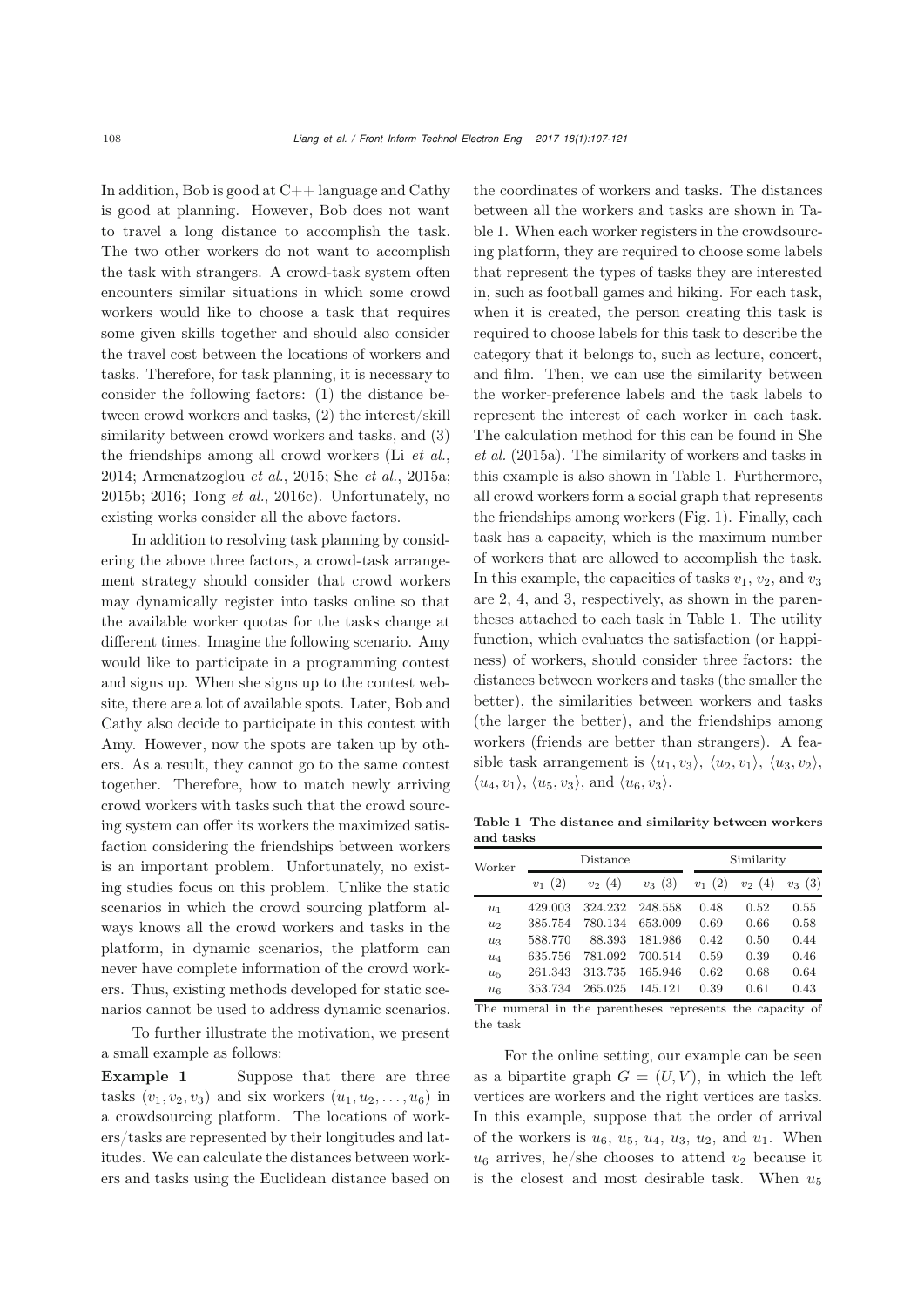In addition, Bob is good at  $C_{++}$  language and Cathy is good at planning. However, Bob does not want to travel a long distance to accomplish the task. The two other workers do not want to accomplish the task with strangers. A crowd-task system often encounters similar situations in which some crowd workers would like to choose a task that requires some given skills together and should also consider the travel cost between the locations of workers and tasks. Therefore, for task planning, it is necessary to consider the following factors: (1) the distance between crowd workers and tasks, (2) the interest/skill similarity between crowd workers and tasks, and (3) the friendships among all crowd workers (Li *et al.*, 2014; Armenatzoglou *et al.*, 2015; She *et al.*, 2015a; 2015b; 2016; Tong *et al.*, 2016c). Unfortunately, no existing works consider all the above factors.

In addition to resolving task planning by considering the above three factors, a crowd-task arrangement strategy should consider that crowd workers may dynamically register into tasks online so that the available worker quotas for the tasks change at different times. Imagine the following scenario. Amy would like to participate in a programming contest and signs up. When she signs up to the contest website, there are a lot of available spots. Later, Bob and Cathy also decide to participate in this contest with Amy. However, now the spots are taken up by others. As a result, they cannot go to the same contest together. Therefore, how to match newly arriving crowd workers with tasks such that the crowd sourcing system can offer its workers the maximized satisfaction considering the friendships between workers is an important problem. Unfortunately, no existing studies focus on this problem. Unlike the static scenarios in which the crowd sourcing platform always knows all the crowd workers and tasks in the platform, in dynamic scenarios, the platform can never have complete information of the crowd workers. Thus, existing methods developed for static scenarios cannot be used to address dynamic scenarios.

To further illustrate the motivation, we present a small example as follows:

Example 1 Suppose that there are three tasks  $(v_1, v_2, v_3)$  and six workers  $(u_1, u_2, \ldots, u_6)$  in a crowdsourcing platform. The locations of workers/tasks are represented by their longitudes and latitudes. We can calculate the distances between workers and tasks using the Euclidean distance based on

the coordinates of workers and tasks. The distances between all the workers and tasks are shown in Table [1.](#page-1-0) When each worker registers in the crowdsourcing platform, they are required to choose some labels that represent the types of tasks they are interested in, such as football games and hiking. For each task, when it is created, the person creating this task is required to choose labels for this task to describe the category that it belongs to, such as lecture, concert, and film. Then, we can use the similarity between the worker-preference labels and the task labels to represent the interest of each worker in each task. The [calculation](#page-14-4) [method](#page-14-4) [for](#page-14-4) [this](#page-14-4) [can](#page-14-4) [be](#page-14-4) [found](#page-14-4) [in](#page-14-4) She *et al.* [\(2015a](#page-14-4)). The similarity of workers and tasks in this example is also shown in Table [1.](#page-1-0) Furthermore, all crowd workers form a social graph that represents the friendships among workers (Fig. [1\)](#page-2-0). Finally, each task has a capacity, which is the maximum number of workers that are allowed to accomplish the task. In this example, the capacities of tasks  $v_1, v_2$ , and  $v_3$ are 2, 4, and 3, respectively, as shown in the parentheses attached to each task in Table [1.](#page-1-0) The utility function, which evaluates the satisfaction (or happiness) of workers, should consider three factors: the distances between workers and tasks (the smaller the better), the similarities between workers and tasks (the larger the better), and the friendships among workers (friends are better than strangers). A feasible task arrangement is  $\langle u_1, v_3 \rangle$ ,  $\langle u_2, v_1 \rangle$ ,  $\langle u_3, v_2 \rangle$ ,  $\langle u_4, v_1 \rangle, \, \langle u_5, v_3 \rangle, \text{ and } \langle u_6, v_3 \rangle.$ 

<span id="page-1-0"></span>Table 1 The distance and similarity between workers and tasks

| Worker         | Distance |          |          | Similarity |          |          |
|----------------|----------|----------|----------|------------|----------|----------|
|                | $v_1(2)$ | $v_2(4)$ | $v_3(3)$ | $v_1(2)$   | $v_2(4)$ | $v_3(3)$ |
| $u_1$          | 429.003  | 324.232  | 248.558  | 0.48       | 0.52     | 0.55     |
| $u_2$          | 385.754  | 780.134  | 653.009  | 0.69       | 0.66     | 0.58     |
| $u_3$          | 588.770  | 88.393   | 181.986  | 0.42       | 0.50     | 0.44     |
| $u_4$          | 635.756  | 781.092  | 700.514  | 0.59       | 0.39     | 0.46     |
| $u_{5}$        | 261.343  | 313.735  | 165.946  | 0.62       | 0.68     | 0.64     |
| $u_{6}$<br>$-$ | 353.734  | 265.025  | 145.121  | 0.39       | 0.61     | 0.43     |

The numeral in the parentheses represents the capacity of the task

For the online setting, our example can be seen as a bipartite graph  $G = (U, V)$ , in which the left vertices are workers and the right vertices are tasks. In this example, suppose that the order of arrival of the workers is  $u_6$ ,  $u_5$ ,  $u_4$ ,  $u_3$ ,  $u_2$ , and  $u_1$ . When  $u_6$  arrives, he/she chooses to attend  $v_2$  because it is the closest and most desirable task. When  $u_5$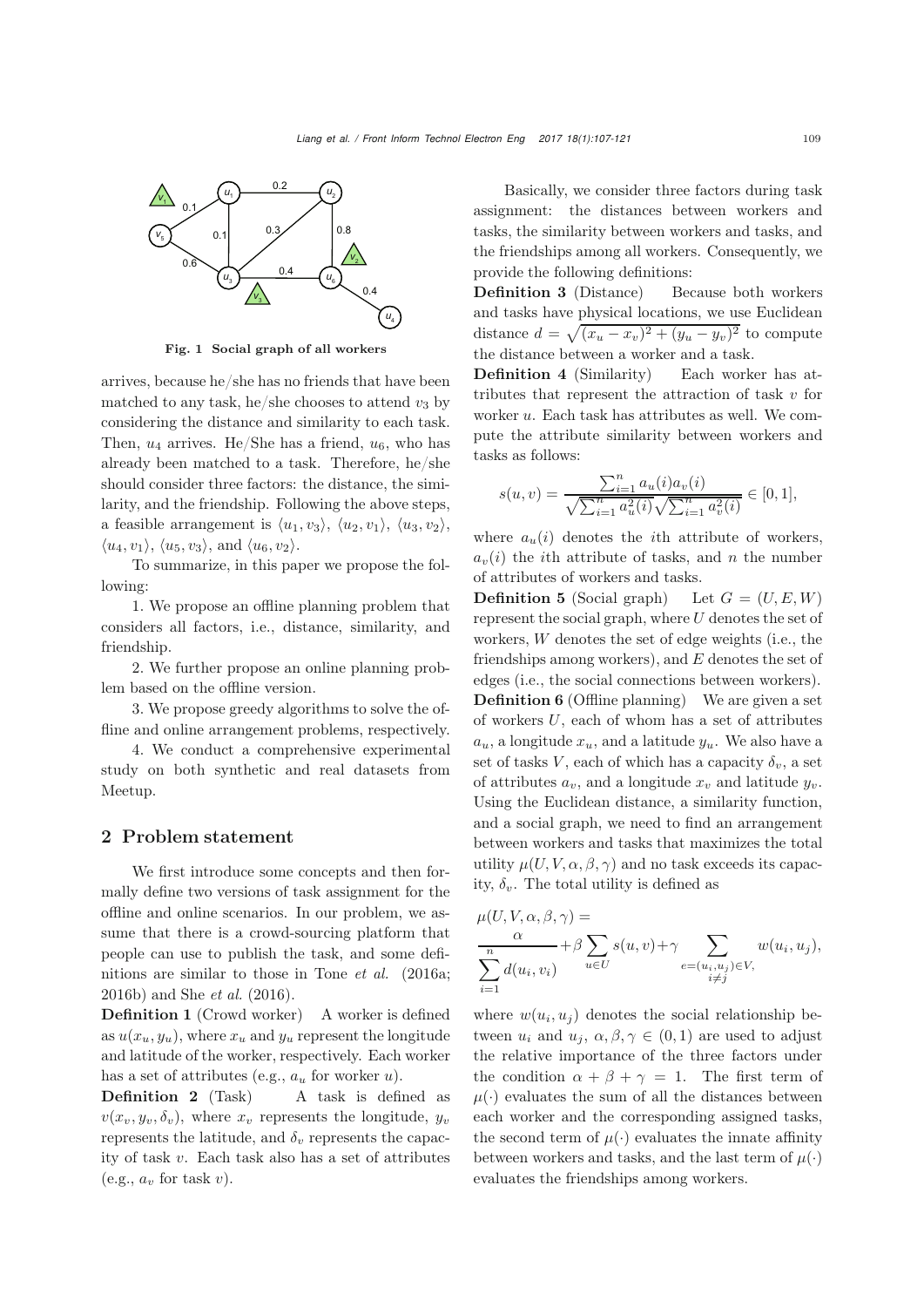

<span id="page-2-0"></span>Fig. 1 Social graph of all workers

arrives, because he/she has no friends that have been matched to any task, he/she chooses to attend  $v_3$  by considering the distance and similarity to each task. Then,  $u_4$  arrives. He/She has a friend,  $u_6$ , who has already been matched to a task. Therefore, he/she should consider three factors: the distance, the similarity, and the friendship. Following the above steps, a feasible arrangement is  $\langle u_1, v_3 \rangle$ ,  $\langle u_2, v_1 \rangle$ ,  $\langle u_3, v_2 \rangle$ ,  $\langle u_4, v_1 \rangle$ ,  $\langle u_5, v_3 \rangle$ , and  $\langle u_6, v_2 \rangle$ .

To summarize, in this paper we propose the following:

1. We propose an offline planning problem that considers all factors, i.e., distance, similarity, and friendship.

2. We further propose an online planning problem based on the offline version.

3. We propose greedy algorithms to solve the offline and online arrangement problems, respectively.

4. We conduct a comprehensive experimental study on both synthetic and real datasets from Meetup.

#### 2 Problem statement

We first introduce some concepts and then formally define two versions of task assignment for the offline and online scenarios. In our problem, we assume that there is a crowd-sourcing platform that people can use to publish the task, and some definitions are similar to those in Tone *et al.* (2016a; 2016b) and She *[et al.](#page-14-5)* [\(2016\)](#page-14-5).

Definition 1 (Crowd worker) A worker is defined as  $u(x_u, y_u)$ , where  $x_u$  and  $y_u$  represent the longitude and latitude of the worker, respectively. Each worker has a set of attributes (e.g., a*<sup>u</sup>* for worker u).

Definition 2 (Task) A task is defined as  $v(x_v, y_v, \delta_v)$ , where  $x_v$  represents the longitude,  $y_v$ represents the latitude, and  $\delta_v$  represents the capacity of task v. Each task also has a set of attributes  $(e.g., a_v for task v).$ 

Basically, we consider three factors during task assignment: the distances between workers and tasks, the similarity between workers and tasks, and the friendships among all workers. Consequently, we provide the following definitions:

Definition 3 (Distance) Because both workers and tasks have physical locations, we use Euclidean distance  $d = \sqrt{(x_u - x_v)^2 + (y_u - y_v)^2}$  to compute the distance between a worker and a task.

Definition 4 (Similarity) Each worker has attributes that represent the attraction of task  $v$  for worker  $u$ . Each task has attributes as well. We compute the attribute similarity between workers and tasks as follows:

$$
s(u,v) = \frac{\sum_{i=1}^{n} a_u(i) a_v(i)}{\sqrt{\sum_{i=1}^{n} a_u^2(i)} \sqrt{\sum_{i=1}^{n} a_v^2(i)}} \in [0,1],
$$

where  $a_u(i)$  denotes the *i*th attribute of workers,  $a_v(i)$  the *i*th attribute of tasks, and *n* the number of attributes of workers and tasks.

**Definition 5** (Social graph) Let  $G = (U, E, W)$ <br>represent the social graph, where U denotes the set of workers, W denotes the set of edge weights (i.e., the friendships among workers), and  $E$  denotes the set of edges (i.e., the social connections between workers). **Definition 6** (Offline planning) We are given a set of workers  $U$ , each of whom has a set of attributes  $a_u$ , a longitude  $x_u$ , and a latitude  $y_u$ . We also have a set of tasks V, each of which has a capacity  $\delta_v$ , a set of attributes  $a_v$ , and a longitude  $x_v$  and latitude  $y_v$ . Using the Euclidean distance, a similarity function, and a social graph, we need to find an arrangement between workers and tasks that maximizes the total utility  $\mu(U, V, \alpha, \beta, \gamma)$  and no task exceeds its capacity,  $\delta_v$ . The total utility is defined as

$$
\mu(U, V, \alpha, \beta, \gamma) =
$$
  
\n
$$
\frac{\alpha}{\sum_{i=1}^{n} d(u_i, v_i)} + \beta \sum_{u \in U} s(u, v) + \gamma \sum_{\substack{e = (u_i, u_j) \in V, \\ i \neq j}} w(u_i, u_j),
$$

where  $w(u_i, u_j)$  denotes the social relationship between  $u_i$  and  $u_j$ ,  $\alpha, \beta, \gamma \in (0,1)$  are used to adjust the relative importance of the three factors under the condition  $\alpha + \beta + \gamma = 1$ . The first term of  $\mu(\cdot)$  evaluates the sum of all the distances between each worker and the corresponding assigned tasks, the second term of  $\mu(\cdot)$  evaluates the innate affinity between workers and tasks, and the last term of  $\mu(\cdot)$ evaluates the friendships among workers.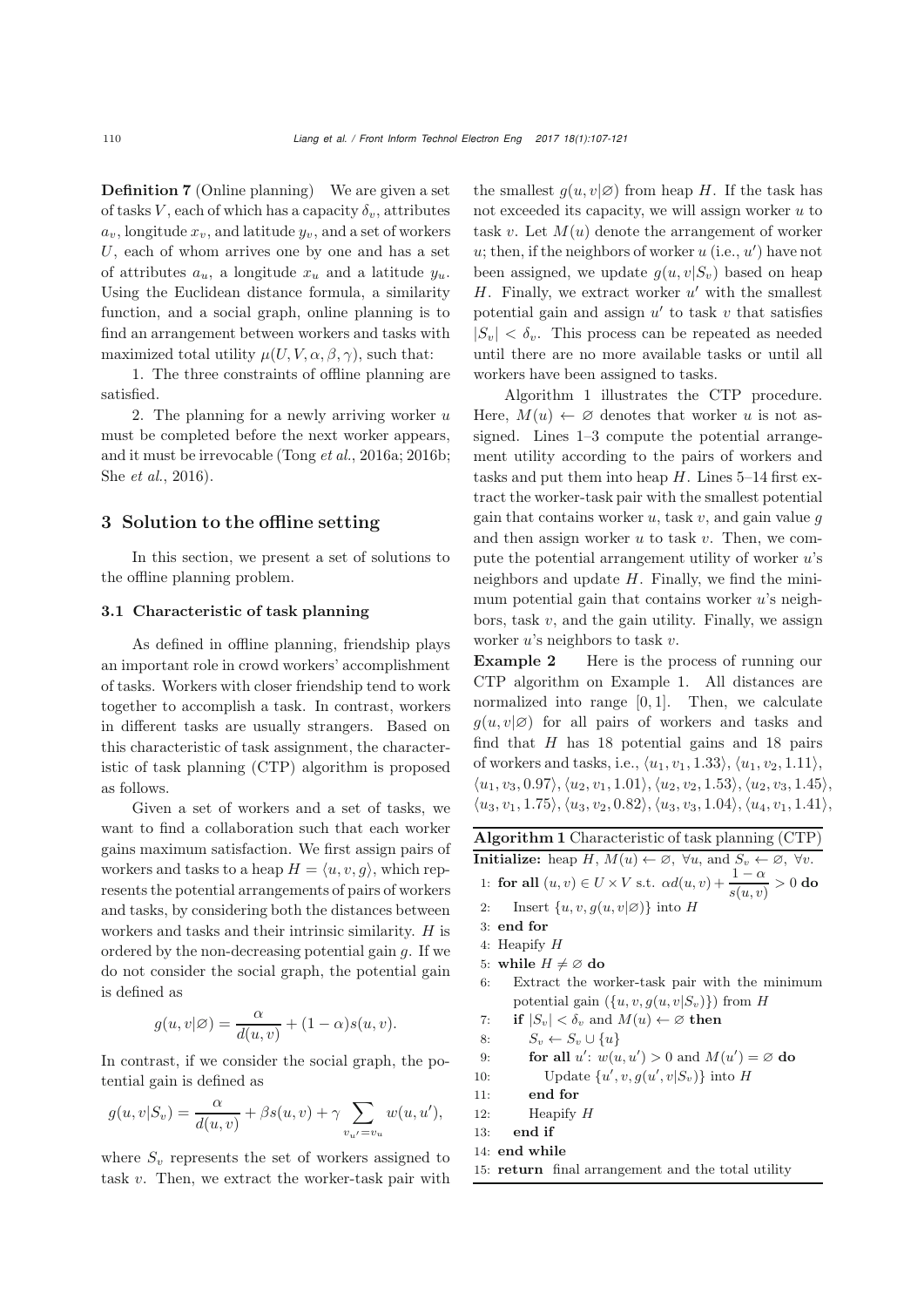**Definition 7** (Online planning) We are given a set of tasks  $V$ , each of which has a capacity  $\delta_v$ , attributes  $a_v$ , longitude  $x_v$ , and latitude  $y_v$ , and a set of workers  $U$ , each of whom arrives one by one and has a set of attributes  $a_u$ , a longitude  $x_u$  and a latitude  $y_u$ . Using the Euclidean distance formula, a similarity function, and a social graph, online planning is to find an arrangement between workers and tasks with maximized total utility  $\mu(U, V, \alpha, \beta, \gamma)$ , such that:

1. The three constraints of offline planning are satisfied.

2. The planning for a newly arriving worker  $u$ must be completed before the next worker appears, and it must be irrevocable (Tong *et al.*, 2016a; 2016b; She *et al.*, 2016).

# 3 Solution to the offline setting

In this section, we present a set of solutions to the offline planning problem.

#### 3.1 Characteristic of task planning

As defined in offline planning, friendship plays an important role in crowd workers' accomplishment of tasks. Workers with closer friendship tend to work together to accomplish a task. In contrast, workers in different tasks are usually strangers. Based on this characteristic of task assignment, the characteristic of task planning (CTP) algorithm is proposed as follows.

Given a set of workers and a set of tasks, we want to find a collaboration such that each worker gains maximum satisfaction. We first assign pairs of workers and tasks to a heap  $H = \langle u, v, g \rangle$ , which rep-<br>recents the potential arepresents of pairs of weaken resents the potential arrangements of pairs of workers and tasks, by considering both the distances between workers and tasks and their intrinsic similarity. H is ordered by the non-decreasing potential gain g. If we do not consider the social graph, the potential gain is defined as

$$
g(u, v | \varnothing) = \frac{\alpha}{d(u, v)} + (1 - \alpha)s(u, v).
$$

In contrast, if we consider the social graph, the potential gain is defined as

$$
g(u, v|S_v) = \frac{\alpha}{d(u, v)} + \beta s(u, v) + \gamma \sum_{v_{u'}=v_u} w(u, u'),
$$

where  $S_v$  represents the set of workers assigned to task v. Then, we extract the worker-task pair with the smallest  $g(u, v | \varnothing)$  from heap H. If the task has not exceeded its capacity, we will assign worker  $u$  to task v. Let  $M(u)$  denote the arrangement of worker u; then, if the neighbors of worker  $u$  (i.e.,  $u'$ ) have not been assigned, we update  $g(u, v|S_v)$  based on heap H. Finally, we extract worker  $u'$  with the smallest potential gain and assign  $u'$  to task v that satisfies  $|S_v| < \delta_v$ . This process can be repeated as needed until there are no more available tasks or until all workers have been assigned to tasks.

Algorithm [1](#page-3-0) illustrates the CTP procedure. Here,  $M(u) \leftarrow \emptyset$  denotes that worker u is not assigned. Lines 1–3 compute the potential arrangement utility according to the pairs of workers and tasks and put them into heap  $H$ . Lines 5–14 first extract the worker-task pair with the smallest potential gain that contains worker  $u$ , task  $v$ , and gain value  $g$ and then assign worker  $u$  to task  $v$ . Then, we compute the potential arrangement utility of worker  $u$ 's neighbors and update  $H$ . Finally, we find the minimum potential gain that contains worker  $u$ 's neighbors, task  $v$ , and the gain utility. Finally, we assign worker  $u$ 's neighbors to task  $v$ .

Example 2 Here is the process of running our CTP algorithm on Example 1. All distances are normalized into range  $[0, 1]$ . Then, we calculate  $g(u, v | \varnothing)$  for all pairs of workers and tasks and find that  $H$  has 18 potential gains and 18 pairs of workers and tasks, i.e.,  $\langle u_1, v_1, 1.33 \rangle, \langle u_1, v_2, 1.11 \rangle,$ <br> $\langle u_1, v_2, 0.97 \rangle, \langle u_2, v_1, 1.01 \rangle, \langle u_2, v_2, 1.53 \rangle, \langle u_1, v_2, 1.45 \rangle$  $\langle u_1, v_3, 0.97 \rangle, \langle u_2, v_1, 1.01 \rangle, \langle u_2, v_2, 1.53 \rangle, \langle u_2, v_3, 1.45 \rangle,$  $\langle u_3, v_1, 1.75 \rangle, \langle u_3, v_2, 0.82 \rangle, \langle u_3, v_3, 1.04 \rangle, \langle u_4, v_1, 1.41 \rangle,$ 

Algorithm 1 Characteristic of task planning (CTP) **Initialize:** heap  $H, M(u) \leftarrow \emptyset$ ,  $\forall u$ , and  $S_v \leftarrow \emptyset$ ,  $\forall v$ . 1: for all  $(u, v) \in U \times V$  s.t.  $\alpha d(u, v) + \frac{1 - \alpha}{s(u, v)} > 0$  do 2: Insert  $\{u, v, g(u, v | \varnothing)\}\$ into H 3: end for 4: Heapify H 5: while  $H \neq \emptyset$  do 6: Extract the worker-task pair with the minimum potential gain  $({u, v, g(u, v|S_v)}$  from H 7: if  $|S_v| < \delta_v$  and  $M(u) \leftarrow \emptyset$  then 8:  $S_v \leftarrow S_v \cup \{u\}$  $1.300h$ 

9: for all 
$$
u' : w(u, u') > 0
$$
 and  $M(u') = \emptyset$  do

10: Update  $\{u', v, g(u', v|S_v)\}\$ into H

11: end for

12: Heapify H

```
13: end if
```
- <span id="page-3-0"></span>14: end while
- 15: return final arrangement and the total utility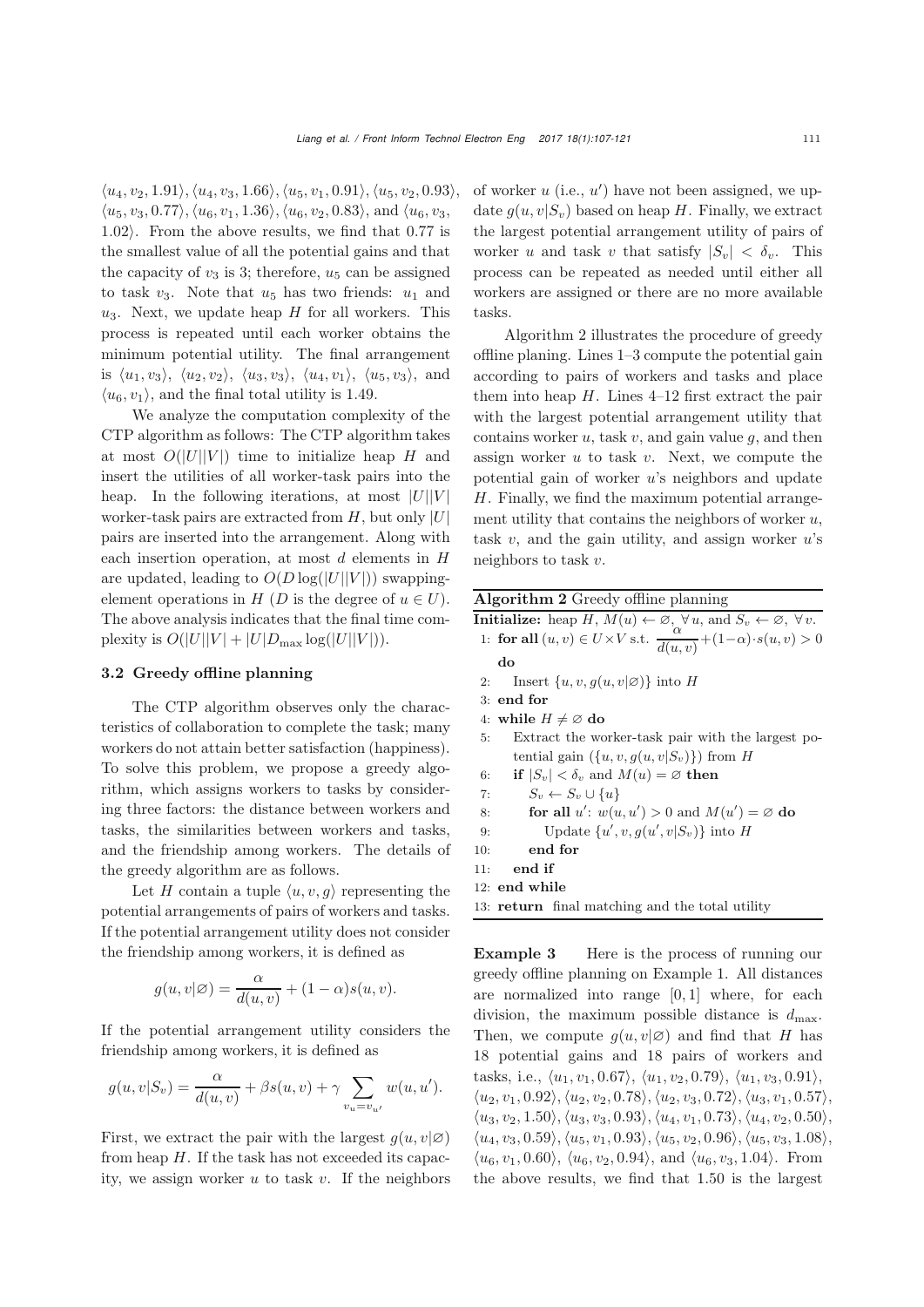$\langle u_4, v_2, 1.91 \rangle, \langle u_4, v_3, 1.66 \rangle, \langle u_5, v_1, 0.91 \rangle, \langle u_5, v_2, 0.93 \rangle,$  $\langle u_5, v_3, 0.77 \rangle, \langle u_6, v_1, 1.36 \rangle, \langle u_6, v_2, 0.83 \rangle$ , and  $\langle u_6, v_3, 1.09 \rangle$ . From the share results, we find that  $0.77$  is  $1.02$ . From the above results, we find that 0.77 is the smallest value of all the potential gains and that the capacity of  $v_3$  is 3; therefore,  $u_5$  can be assigned to task  $v_3$ . Note that  $u_5$  has two friends:  $u_1$  and  $u_3$ . Next, we update heap  $H$  for all workers. This process is repeated until each worker obtains the minimum potential utility. The final arrangement is  $\langle u_1, v_3 \rangle$ ,  $\langle u_2, v_2 \rangle$ ,  $\langle u_3, v_3 \rangle$ ,  $\langle u_4, v_1 \rangle$ ,  $\langle u_5, v_3 \rangle$ , and  $\langle u_6, v_1 \rangle$ , and the final total utility is 1.49.

We analyze the computation complexity of the CTP algorithm as follows: The CTP algorithm takes at most  $O(|U||V|)$  time to initialize heap H and insert the utilities of all worker-task pairs into the heap. In the following iterations, at most  $|U||V|$ worker-task pairs are extracted from  $H$ , but only  $|U|$ pairs are inserted into the arrangement. Along with each insertion operation, at most  $d$  elements in  $H$ are updated, leading to  $O(D \log(|U||V|))$  swappingelement operations in H (D is the degree of  $u \in U$ ). The above analysis indicates that the final time complexity is  $O(|U||V| + |U|D_{\text{max}}\log(|U||V|)).$ 

## 3.2 Greedy offline planning

The CTP algorithm observes only the characteristics of collaboration to complete the task; many workers do not attain better satisfaction (happiness). To solve this problem, we propose a greedy algorithm, which assigns workers to tasks by considering three factors: the distance between workers and tasks, the similarities between workers and tasks, and the friendship among workers. The details of the greedy algorithm are as follows.

Let H contain a tuple  $\langle u, v, g \rangle$  representing the potential arrangements of pairs of workers and tasks. If the potential arrangement utility does not consider the friendship among workers, it is defined as

$$
g(u, v | \varnothing) = \frac{\alpha}{d(u, v)} + (1 - \alpha)s(u, v).
$$

If the potential arrangement utility considers the friendship among workers, it is defined as

$$
g(u, v|S_v) = \frac{\alpha}{d(u, v)} + \beta s(u, v) + \gamma \sum_{v_u = v_{u'}} w(u, u').
$$

First, we extract the pair with the largest  $g(u, v | \varnothing)$ from heap  $H$ . If the task has not exceeded its capacity, we assign worker  $u$  to task  $v$ . If the neighbors

of worker  $u$  (i.e.,  $u'$ ) have not been assigned, we update  $g(u, v|S_v)$  based on heap H. Finally, we extract the largest potential arrangement utility of pairs of worker u and task v that satisfy  $|S_v| < \delta_v$ . This process can be repeated as needed until either all workers are assigned or there are no more available tasks.

Algorithm [2](#page-4-0) illustrates the procedure of greedy offline planing. Lines 1–3 compute the potential gain according to pairs of workers and tasks and place them into heap  $H$ . Lines 4–12 first extract the pair with the largest potential arrangement utility that contains worker  $u$ , task  $v$ , and gain value  $q$ , and then assign worker  $u$  to task  $v$ . Next, we compute the potential gain of worker  $u$ 's neighbors and update  $H$ . Finally, we find the maximum potential arrangement utility that contains the neighbors of worker  $u$ , task v, and the gain utility, and assign worker  $u$ 's neighbors to task v.

| <b>Algorithm 2</b> Greedy offline planning                                                                           |  |  |  |  |
|----------------------------------------------------------------------------------------------------------------------|--|--|--|--|
| <b>Initialize:</b> heap $H, M(u) \leftarrow \emptyset, \forall u, \text{ and } S_v \leftarrow \emptyset, \forall v.$ |  |  |  |  |
| 1: for all $(u, v) \in U \times V$ s.t. $\frac{\alpha}{d(u, v)} + (1 - \alpha) \cdot s(u, v) > 0$                    |  |  |  |  |
| do                                                                                                                   |  |  |  |  |
| Insert $\{u, v, g(u, v   \varnothing)\}\$ into H<br>2:                                                               |  |  |  |  |
| $3:$ end for                                                                                                         |  |  |  |  |
| 4: while $H \neq \emptyset$ do                                                                                       |  |  |  |  |
| Extract the worker-task pair with the largest po-<br>5:                                                              |  |  |  |  |
| tential gain $({u, v, g(u, v S_v)}$ from H                                                                           |  |  |  |  |
| if $ S_v  < \delta_v$ and $M(u) = \emptyset$ then<br>6:                                                              |  |  |  |  |
| $S_v \leftarrow S_v \cup \{u\}$<br>7:                                                                                |  |  |  |  |
| for all $u'$ : $w(u, u') > 0$ and $M(u') = \emptyset$ do<br>8:                                                       |  |  |  |  |
| Update $\{u', v, q(u', v S_v)\}\$ into H<br>9:                                                                       |  |  |  |  |
| end for<br>10:                                                                                                       |  |  |  |  |
| end if<br>11:                                                                                                        |  |  |  |  |
| 12: end while                                                                                                        |  |  |  |  |
| 13: <b>return</b> final matching and the total utility                                                               |  |  |  |  |

<span id="page-4-0"></span>**Example 3** Here is the process of running our greedy offline planning on Example 1. All distances are normalized into range [0, 1] where, for each division, the maximum possible distance is  $d_{\text{max}}$ . Then, we compute  $g(u, v | \varnothing)$  and find that H has 18 potential gains and 18 pairs of workers and tasks, i.e.,  $\langle u_1, v_1, 0.67 \rangle$ ,  $\langle u_1, v_2, 0.79 \rangle$ ,  $\langle u_1, v_3, 0.91 \rangle$ ,  $\langle u_2, v_1, 0.92 \rangle$ ,  $\langle u_2, v_2, 0.78 \rangle$ ,  $\langle u_3, v_3, 0.72 \rangle$ ,  $\langle u_4, v_5, 0.57 \rangle$  $\langle u_2, v_1, 0.92 \rangle, \langle u_2, v_2, 0.78 \rangle, \langle u_2, v_3, 0.72 \rangle, \langle u_3, v_1, 0.57 \rangle,$  $\langle u_3, v_2, 1.50 \rangle, \langle u_3, v_3, 0.93 \rangle, \langle u_4, v_1, 0.73 \rangle, \langle u_4, v_2, 0.50 \rangle,$  $\langle u_4, v_3, 0.59 \rangle, \langle u_5, v_1, 0.93 \rangle, \langle u_5, v_2, 0.96 \rangle, \langle u_5, v_3, 1.08 \rangle,$  $\langle u_6, v_1, 0.60 \rangle, \langle u_6, v_2, 0.94 \rangle$ , and  $\langle u_6, v_3, 1.04 \rangle$ . From the above results, we find that 1.50 is the largest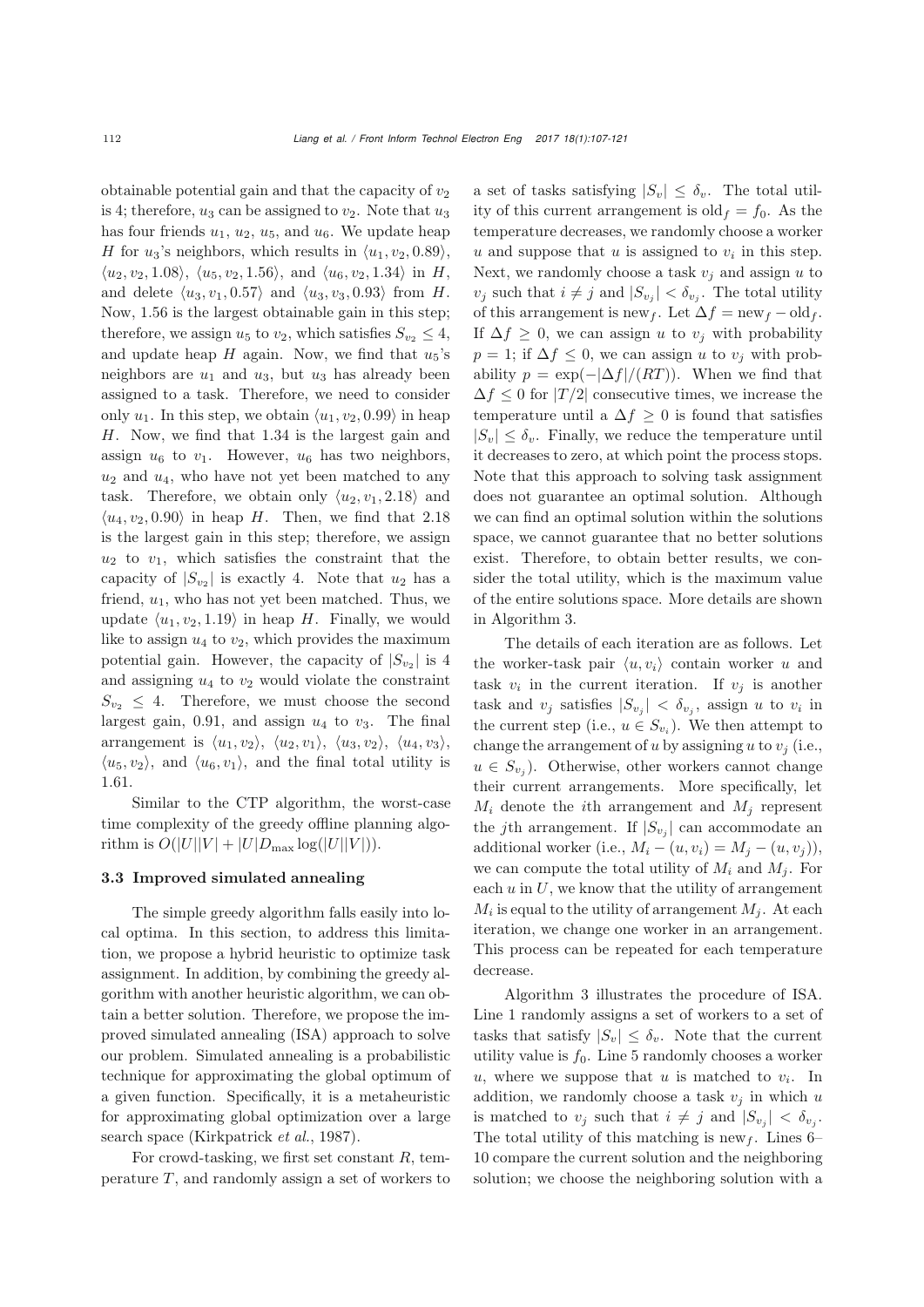obtainable potential gain and that the capacity of  $v_2$ is 4; therefore,  $u_3$  can be assigned to  $v_2$ . Note that  $u_3$ has four friends  $u_1, u_2, u_5$ , and  $u_6$ . We update heap H for  $u_3$ 's neighbors, which results in  $\langle u_1, v_2, 0.89 \rangle$ ,<br> $\langle u_1, v_1, 1.08 \rangle$ ,  $\langle u_2, v_2, 1.56 \rangle$ , and  $\langle u_1, v_2, 1.34 \rangle$  in H  $\langle u_2, v_2, 1.08 \rangle, \langle u_5, v_2, 1.56 \rangle, \text{ and } \langle u_6, v_2, 1.34 \rangle \text{ in } H,$ <br>and delate  $\langle u_1, u_2, 0.57 \rangle$  and  $\langle u_1, u_2, 0.03 \rangle$  from H and delete  $\langle u_3, v_1, 0.57 \rangle$  and  $\langle u_3, v_3, 0.93 \rangle$  from H.<br>Now 1.56 is the largest obtainable gain in this step: Now, 1.56 is the largest obtainable gain in this step; therefore, we assign  $u_5$  to  $v_2$ , which satisfies  $S_{v_2} \leq 4$ , and update heap  $H$  again. Now, we find that  $u_5$ 's neighbors are  $u_1$  and  $u_3$ , but  $u_3$  has already been assigned to a task. Therefore, we need to consider only  $u_1$ . In this step, we obtain  $\langle u_1, v_2, 0.99 \rangle$  in heap<br> $\overline{u}$ . Now we find that 1.24 is the largest gain and H. Now, we find that 1.34 is the largest gain and assign  $u_6$  to  $v_1$ . However,  $u_6$  has two neighbors,  $u_2$  and  $u_4$ , who have not yet been matched to any task. Therefore, we obtain only  $\langle u_2, v_1, 2.18 \rangle$  and  $\langle u_2, v_1, 0.90 \rangle$  in boar  $H$ . Then, we find that 2.18  $\langle u_4, v_2, 0.90 \rangle$  in heap H. Then, we find that 2.18 is the largest gain in this step; therefore, we assign  $u_2$  to  $v_1$ , which satisfies the constraint that the capacity of  $|S_{v_2}|$  is exactly 4. Note that  $u_2$  has a friend,  $u_1$ , who has not yet been matched. Thus, we update  $\langle u_1, v_2, 1.19 \rangle$  in heap H. Finally, we would like to assign  $u_4$  to  $v_2$ , which provides the maximum potential gain. However, the capacity of  $|S_{v_2}|$  is 4 and assigning  $u_4$  to  $v_2$  would violate the constraint  $S_{v_2} \leq 4$ . Therefore, we must choose the second largest gain, 0.91, and assign  $u_4$  to  $v_3$ . The final arrangement is  $\langle u_1, v_2 \rangle$ ,  $\langle u_2, v_1 \rangle$ ,  $\langle u_3, v_2 \rangle$ ,  $\langle u_4, v_3 \rangle$ ,  $\langle u_5, v_2 \rangle$ , and  $\langle u_6, v_1 \rangle$ , and the final total utility is 1.61.

Similar to the CTP algorithm, the worst-case time complexity of the greedy offline planning algorithm is  $O(|U||V| + |U|D_{\text{max}}\log(|U||V|)).$ 

#### 3.3 Improved simulated annealing

The simple greedy algorithm falls easily into local optima. In this section, to address this limitation, we propose a hybrid heuristic to optimize task assignment. In addition, by combining the greedy algorithm with another heuristic algorithm, we can obtain a better solution. Therefore, we propose the improved simulated annealing (ISA) approach to solve our problem. Simulated annealing is a probabilistic technique for approximating the global optimum of a given function. Specifically, it is a metaheuristic for approximating global optimization over a large search space [\(Kirkpatrick](#page-14-6) *et al.*, [1987\)](#page-14-6).

For crowd-tasking, we first set constant  $R$ , temperature  $T$ , and randomly assign a set of workers to a set of tasks satisfying  $|S_v| \leq \delta_v$ . The total utility of this current arrangement is  $\mathrm{old}_f = f_0$ . As the temperature decreases, we randomly choose a worker u and suppose that u is assigned to  $v_i$  in this step. Next, we randomly choose a task  $v_j$  and assign u to  $v_j$  such that  $i \neq j$  and  $|S_{v_j}| < \delta_{v_j}$ . The total utility of this arrangement is new<sub>f</sub>. Let  $\Delta f = \text{new}_f - \text{old}_f$ . If  $\Delta f \geq 0$ , we can assign u to  $v_i$  with probability  $p = 1$ ; if  $\Delta f \leq 0$ , we can assign u to  $v_j$  with probability  $p = \exp(-|\Delta f|/(RT))$ . When we find that  $\Delta f \leq 0$  for  $|T/2|$  consecutive times, we increase the temperature until a  $\Delta f \geq 0$  is found that satisfies  $|S_v| < \delta_v$ . Finally, we reduce the temperature until it decreases to zero, at which point the process stops. Note that this approach to solving task assignment does not guarantee an optimal solution. Although we can find an optimal solution within the solutions space, we cannot guarantee that no better solutions exist. Therefore, to obtain better results, we consider the total utility, which is the maximum value of the entire solutions space. More details are shown in Algorithm [3.](#page-6-0)

The details of each iteration are as follows. Let the worker-task pair  $\langle u, v_i \rangle$  contain worker u and task  $v_i$  in the current iteration. If  $v_j$  is another task and  $v_j$  satisfies  $|S_{v_j}| < \delta_{v_j}$ , assign u to  $v_i$  in the current step (i.e.,  $u \in S_{v_i}$ ). We then attempt to change the arrangement of u by assigning u to  $v_j$  (i.e.,  $u \in S_{v_i}$ ). Otherwise, other workers cannot change their current arrangements. More specifically, let  $M_i$  denote the *i*th arrangement and  $M_j$  represent the *j*th arrangement. If  $|S_{v_i}|$  can accommodate an additional worker (i.e.,  $M_i - (u, v_i) = M_i - (u, v_i)$ ), we can compute the total utility of  $M_i$  and  $M_j$ . For each  $u$  in  $U$ , we know that the utility of arrangement  $M_i$  is equal to the utility of arrangement  $M_i$ . At each iteration, we change one worker in an arrangement. This process can be repeated for each temperature decrease.

Algorithm [3](#page-6-0) illustrates the procedure of ISA. Line 1 randomly assigns a set of workers to a set of tasks that satisfy  $|S_v| \leq \delta_v$ . Note that the current utility value is  $f_0$ . Line 5 randomly chooses a worker  $u$ , where we suppose that  $u$  is matched to  $v_i$ . In addition, we randomly choose a task  $v_j$  in which u is matched to  $v_j$  such that  $i \neq j$  and  $|S_{v_j}| < \delta_{v_j}$ . The total utility of this matching is new<sub>f</sub>. Lines  $6-$ 10 compare the current solution and the neighboring solution; we choose the neighboring solution with a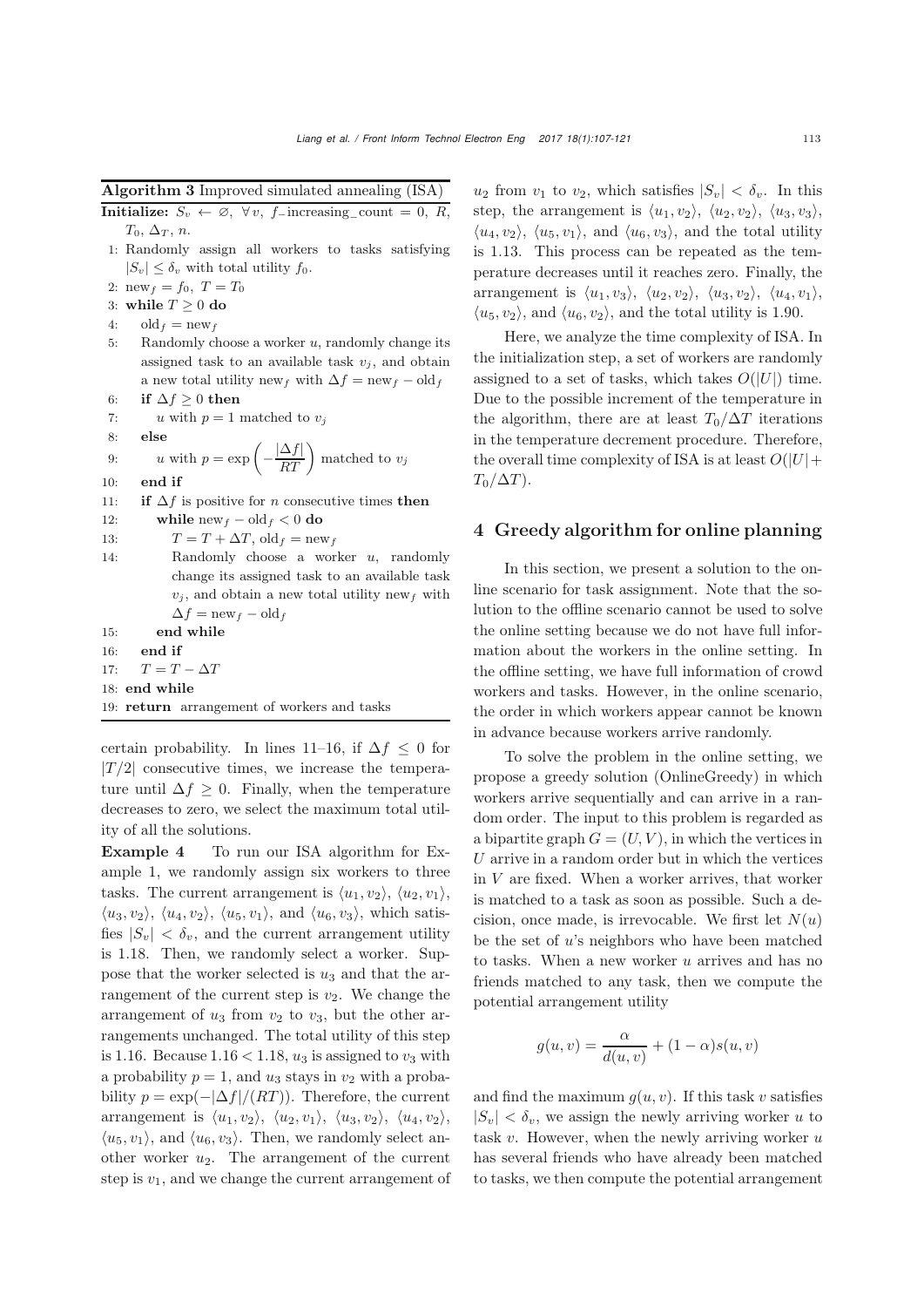Algorithm 3 Improved simulated annealing (ISA) **Initialize:**  $S_v \leftarrow \emptyset$ ,  $\forall v$ , f–increasing\_count = 0, R,  $T_0$ ,  $\Delta_T$ , *n*.

- 1: Randomly assign all workers to tasks satisfying  $|S_v| \leq \delta_v$  with total utility  $f_0$ .
- 2:  $new_f = f_0, T = T_0$
- 3: while  $T \geq 0$  do
- 4:  $old_f = new_f$
- 5: Randomly choose a worker  $u$ , randomly change its assigned task to an available task  $v_j$ , and obtain a new total utility new<sub>f</sub> with  $\Delta f = \text{new}_f - \text{old}_f$
- 6: if  $\Delta f \geq 0$  then
- 7:  $u \text{ with } p = 1 \text{ matched to } v_i$
- 8: else

9: *u* with 
$$
p = \exp\left(-\frac{|\Delta f|}{RT}\right)
$$
 matched to  $v_j$   
10: **end if**

- 11: if  $\Delta f$  is positive for *n* consecutive times then 12: while  $\text{new}_f - \text{old}_f < 0$  do
- 13:  $T = T + \Delta T$ , old<sub>f</sub> = new<sub>f</sub>
- 14: Randomly choose a worker u, randomly change its assigned task to an available task  $v_i$ , and obtain a new total utility new<sub>f</sub> with  $\Delta f = \text{new}_f - \text{old}_f$
- 15: end while 16: end if
- 
- 17:  $T = T \Delta T$
- <span id="page-6-0"></span>18: end while
- 19: return arrangement of workers and tasks

certain probability. In lines 11–16, if  $\Delta f \leq 0$  for  $|T/2|$  consecutive times, we increase the temperature until  $\Delta f \geq 0$ . Finally, when the temperature decreases to zero, we select the maximum total utility of all the solutions.

Example 4 To run our ISA algorithm for Example 1, we randomly assign six workers to three tasks. The current arrangement is  $\langle u_1, v_2 \rangle, \, \langle u_2, v_1 \rangle,$  $\langle u_3, v_2 \rangle$ ,  $\langle u_4, v_2 \rangle$ ,  $\langle u_5, v_1 \rangle$ , and  $\langle u_6, v_3 \rangle$ , which satisfies  $|S_v| < \delta_v$ , and the current arrangement utility is 1.18. Then, we randomly select a worker. Suppose that the worker selected is  $u_3$  and that the arrangement of the current step is  $v_2$ . We change the arrangement of  $u_3$  from  $v_2$  to  $v_3$ , but the other arrangements unchanged. The total utility of this step is 1.16. Because  $1.16 < 1.18$ ,  $u_3$  is assigned to  $v_3$  with a probability  $p = 1$ , and  $u_3$  stays in  $v_2$  with a probability  $p = \exp(-|\Delta f|/(RT))$ . Therefore, the current arrangement is  $\langle u_1, v_2 \rangle$ ,  $\langle u_2, v_1 \rangle$ ,  $\langle u_3, v_2 \rangle$ ,  $\langle u_4, v_2 \rangle$ ,  $\langle u_5, v_1 \rangle$ , and  $\langle u_6, v_3 \rangle$ . Then, we randomly select another worker  $u_2$ . The arrangement of the current step is  $v_1$ , and we change the current arrangement of

 $u_2$  from  $v_1$  to  $v_2$ , which satisfies  $|S_v| < \delta_v$ . In this step, the arrangement is  $\langle u_1, v_2 \rangle$ ,  $\langle u_2, v_2 \rangle$ ,  $\langle u_3, v_3 \rangle$ ,  $\langle u_4, v_2 \rangle$ ,  $\langle u_5, v_1 \rangle$ , and  $\langle u_6, v_3 \rangle$ , and the total utility is 1.13. This process can be repeated as the temperature decreases until it reaches zero. Finally, the arrangement is  $\langle u_1, v_3 \rangle$ ,  $\langle u_2, v_2 \rangle$ ,  $\langle u_3, v_2 \rangle$ ,  $\langle u_4, v_1 \rangle$ ,  $\langle u_5, v_2 \rangle$ , and  $\langle u_6, v_2 \rangle$ , and the total utility is 1.90.

Here, we analyze the time complexity of ISA. In the initialization step, a set of workers are randomly assigned to a set of tasks, which takes  $O(|U|)$  time. Due to the possible increment of the temperature in the algorithm, there are at least  $T_0/\Delta T$  iterations in the temperature decrement procedure. Therefore, the overall time complexity of ISA is at least  $O(|U|+$  $T_0/\Delta T$ ).

#### 4 Greedy algorithm for online planning

In this section, we present a solution to the online scenario for task assignment. Note that the solution to the offline scenario cannot be used to solve the online setting because we do not have full information about the workers in the online setting. In the offline setting, we have full information of crowd workers and tasks. However, in the online scenario, the order in which workers appear cannot be known in advance because workers arrive randomly.

To solve the problem in the online setting, we propose a greedy solution (OnlineGreedy) in which workers arrive sequentially and can arrive in a random order. The input to this problem is regarded as a bipartite graph  $G = (U, V)$ , in which the vertices in  $U$  arrive in a random order but in which the vertices in  $V$  are fixed. When a worker arrives, that worker is matched to a task as soon as possible. Such a decision, once made, is irrevocable. We first let  $N(u)$ be the set of  $u$ 's neighbors who have been matched to tasks. When a new worker u arrives and has no friends matched to any task, then we compute the potential arrangement utility

$$
g(u,v) = \frac{\alpha}{d(u,v)} + (1-\alpha)s(u,v)
$$

and find the maximum  $q(u, v)$ . If this task v satisfies  $|S_v| < \delta_v$ , we assign the newly arriving worker u to task  $v$ . However, when the newly arriving worker  $u$ has several friends who have already been matched to tasks, we then compute the potential arrangement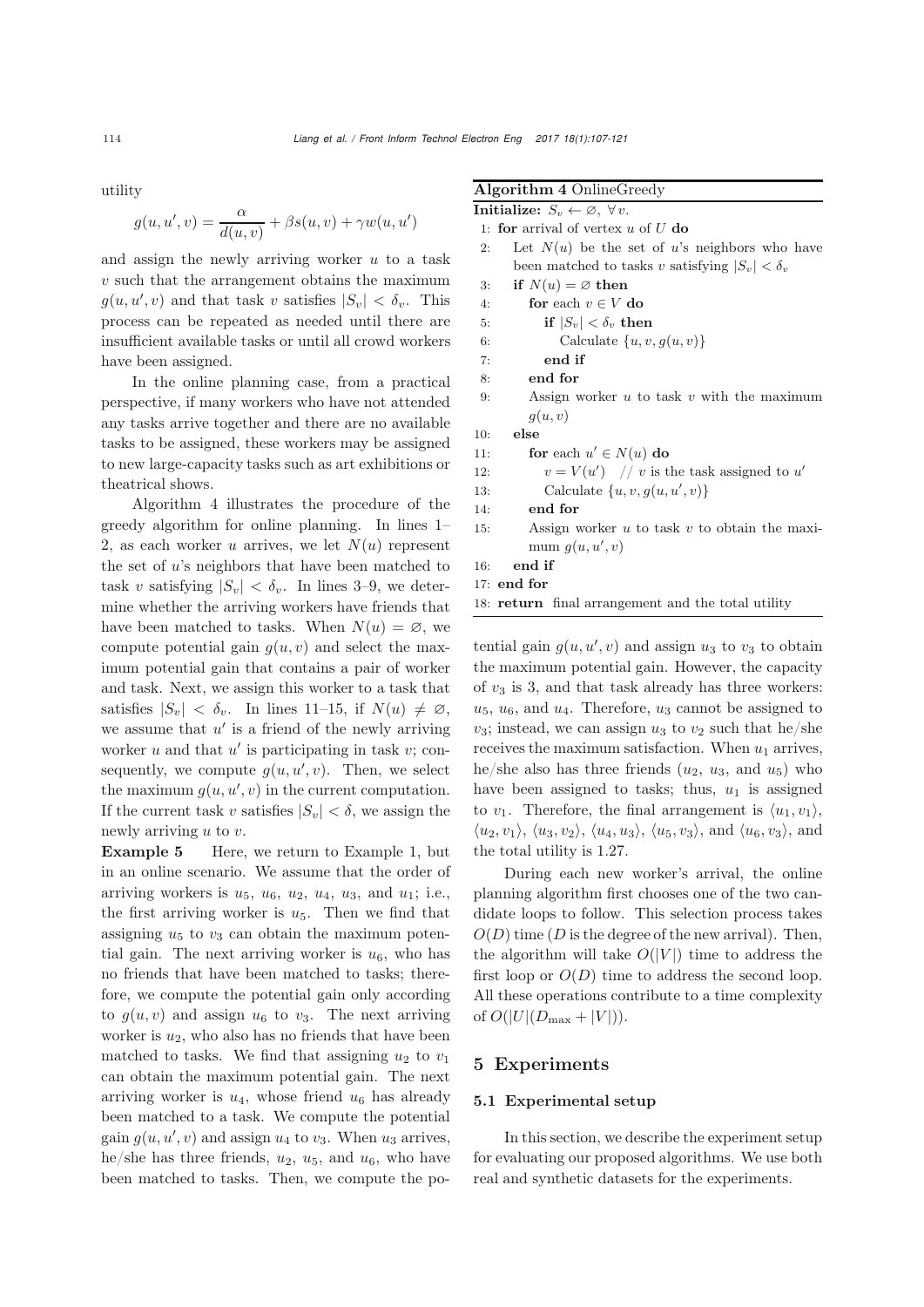utility

$$
g(u, u', v) = \frac{\alpha}{d(u, v)} + \beta s(u, v) + \gamma w(u, u')
$$

and assign the newly arriving worker  $u$  to a task  $v$  such that the arrangement obtains the maximum  $g(u, u', v)$  and that task v satisfies  $|S_v| < \delta_v$ . This process can be repeated as needed until there are insufficient available tasks or until all crowd workers have been assigned.

In the online planning case, from a practical perspective, if many workers who have not attended any tasks arrive together and there are no available tasks to be assigned, these workers may be assigned to new large-capacity tasks such as art exhibitions or theatrical shows.

Algorithm [4](#page-7-0) illustrates the procedure of the greedy algorithm for online planning. In lines 1– 2, as each worker u arrives, we let  $N(u)$  represent the set of  $u$ 's neighbors that have been matched to task v satisfying  $|S_v| < \delta_v$ . In lines 3–9, we determine whether the arriving workers have friends that have been matched to tasks. When  $N(u) = \emptyset$ , we compute potential gain  $g(u, v)$  and select the maximum potential gain that contains a pair of worker and task. Next, we assign this worker to a task that satisfies  $|S_n| < \delta_n$ . In lines 11–15, if  $N(u) \neq \emptyset$ , we assume that  $u'$  is a friend of the newly arriving worker u and that  $u'$  is participating in task v; consequently, we compute  $g(u, u', v)$ . Then, we select<br>the maximum  $g(u, u', v)$  in the current computation the maximum  $g(u, u', v)$  in the current computation.<br>If the current teak user is face  $|S| \leq \delta$ , we assign the If the current task v satisfies  $|S_v| < \delta$ , we assign the newly arriving u to v.

**Example 5** Here, we return to Example 1, but in an online scenario. We assume that the order of arriving workers is  $u_5$ ,  $u_6$ ,  $u_2$ ,  $u_4$ ,  $u_3$ , and  $u_1$ ; i.e., the first arriving worker is  $u_5$ . Then we find that assigning  $u_5$  to  $v_3$  can obtain the maximum potential gain. The next arriving worker is  $u_6$ , who has no friends that have been matched to tasks; therefore, we compute the potential gain only according to  $q(u, v)$  and assign  $u_6$  to  $v_3$ . The next arriving worker is  $u_2$ , who also has no friends that have been matched to tasks. We find that assigning  $u_2$  to  $v_1$ can obtain the maximum potential gain. The next arriving worker is  $u_4$ , whose friend  $u_6$  has already been matched to a task. We compute the potential gain  $g(u, u', v)$  and assign  $u_4$  to  $v_3$ . When  $u_3$  arrives, he/she has three friends,  $u_2$ ,  $u_5$ , and  $u_6$ , who have been matched to tasks. Then, we compute the po-

| <b>Algorithm 4 Online Greedy</b>                       |                                                                     |  |  |
|--------------------------------------------------------|---------------------------------------------------------------------|--|--|
| Initialize: $S_v \leftarrow \emptyset$ , $\forall v$ . |                                                                     |  |  |
|                                                        | 1. <b>for</b> arrival of vertex u of U do                           |  |  |
| 2:                                                     | Let $N(u)$ be the set of u's neighbors who have                     |  |  |
|                                                        | been matched to tasks v satisfying $ S_v  < \delta_v$               |  |  |
| 3:                                                     | if $N(u) = \emptyset$ then                                          |  |  |
| 4:                                                     | for each $v \in V$ do                                               |  |  |
| 5:                                                     | if $ S_v  < \delta_v$ then                                          |  |  |
| 6:                                                     | Calculate $\{u, v, g(u, v)\}\$                                      |  |  |
| 7:                                                     | end if                                                              |  |  |
| 8:                                                     | end for                                                             |  |  |
| 9:                                                     | Assign worker $u$ to task $v$ with the maximum                      |  |  |
|                                                        | q(u,v)                                                              |  |  |
| 10:                                                    | else                                                                |  |  |
| 11:                                                    | for each $u' \in N(u)$ do                                           |  |  |
| 12:                                                    | $v = V(u') \quad // \text{ } v \text{ is the task assigned to } u'$ |  |  |
| 13:                                                    | Calculate $\{u, v, g(u, u', v)\}$                                   |  |  |
| 14:                                                    | end for                                                             |  |  |
| 15:                                                    | Assign worker $u$ to task $v$ to obtain the maxi-                   |  |  |
|                                                        | mum $g(u, u', v)$                                                   |  |  |
| 16:                                                    | end if                                                              |  |  |
|                                                        | $17:$ end for                                                       |  |  |
|                                                        | 18: <b>return</b> final arrangement and the total utility           |  |  |
|                                                        |                                                                     |  |  |

<span id="page-7-0"></span>tential gain  $g(u, u', v)$  and assign  $u_3$  to  $v_3$  to obtain<br>the maximum potential gain. However, the capacity the maximum potential gain. However, the capacity of  $v_3$  is 3, and that task already has three workers:  $u_5, u_6$ , and  $u_4$ . Therefore,  $u_3$  cannot be assigned to  $v_3$ ; instead, we can assign  $u_3$  to  $v_2$  such that he/she receives the maximum satisfaction. When  $u_1$  arrives, he/she also has three friends  $(u_2, u_3, \text{ and } u_5)$  who have been assigned to tasks; thus,  $u_1$  is assigned to  $v_1$ . Therefore, the final arrangement is  $\langle u_1, v_1 \rangle$ ,  $\langle u_2, v_1 \rangle$ ,  $\langle u_3, v_2 \rangle$ ,  $\langle u_4, u_3 \rangle$ ,  $\langle u_5, v_3 \rangle$ , and  $\langle u_6, v_3 \rangle$ , and the total utility is 1.27.

During each new worker's arrival, the online planning algorithm first chooses one of the two candidate loops to follow. This selection process takes  $O(D)$  time (D is the degree of the new arrival). Then, the algorithm will take  $O(|V|)$  time to address the first loop or  $O(D)$  time to address the second loop. All these operations contribute to a time complexity of  $O(|U|(D_{\text{max}} + |V|)).$ 

## 5 Experiments

### 5.1 Experimental setup

In this section, we describe the experiment setup for evaluating our proposed algorithms. We use both real and synthetic datasets for the experiments.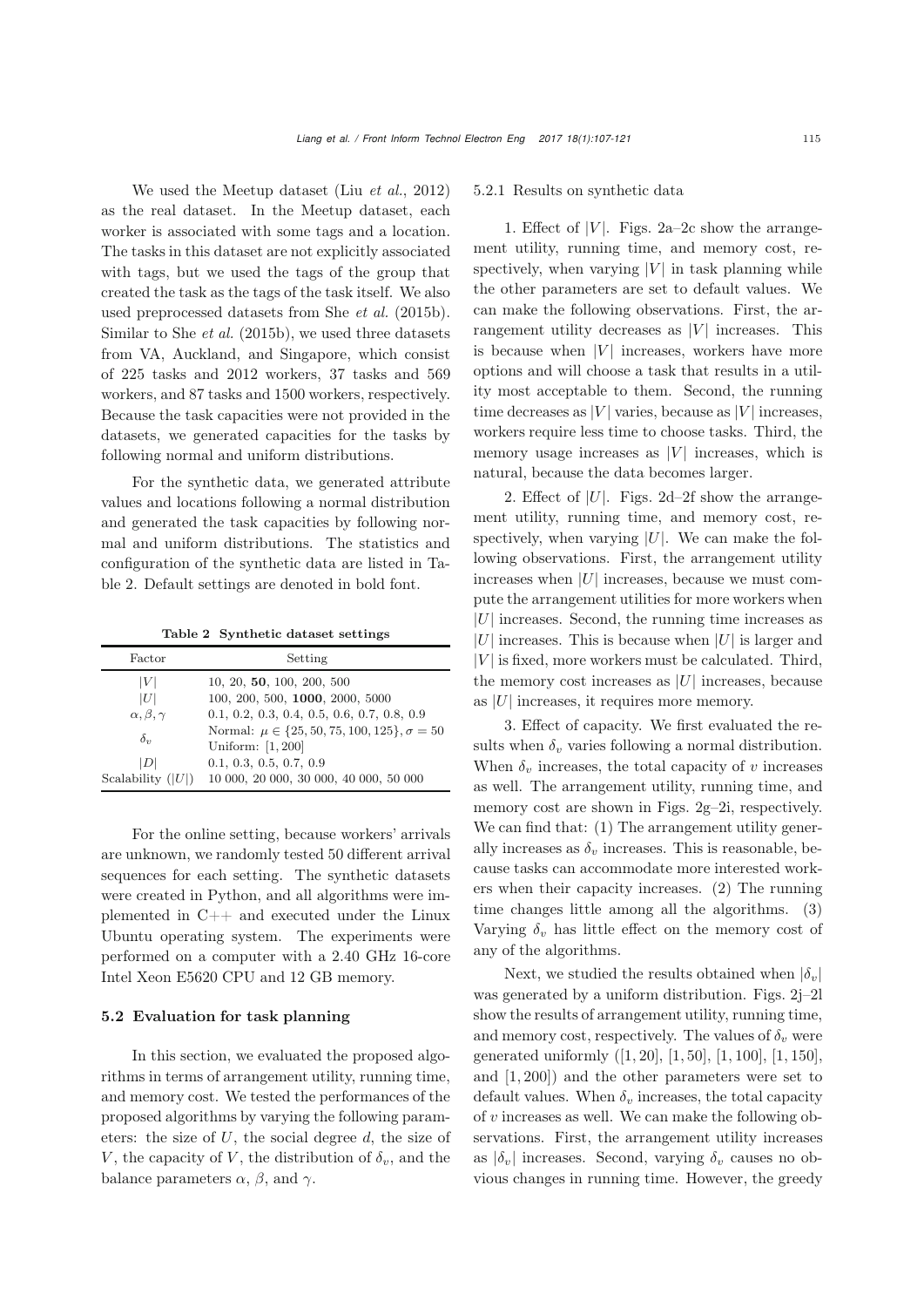We used the Meetup dataset (Liu *[et al.](#page-14-7)*, [2012\)](#page-14-7) as the real dataset. In the Meetup dataset, each worker is associated with some tags and a location. The tasks in this dataset are not explicitly associated with tags, but we used the tags of the group that created the task as the tags of the task itself. We also used preprocessed datasets from She *[et al.](#page-14-8)* [\(2015b\)](#page-14-8). Similar to She *[et al.](#page-14-8)* [\(2015b](#page-14-8)), we used three datasets from VA, Auckland, and Singapore, which consist of 225 tasks and 2012 workers, 37 tasks and 569 workers, and 87 tasks and 1500 workers, respectively. Because the task capacities were not provided in the datasets, we generated capacities for the tasks by following normal and uniform distributions.

For the synthetic data, we generated attribute values and locations following a normal distribution and generated the task capacities by following normal and uniform distributions. The statistics and configuration of the synthetic data are listed in Table [2.](#page-8-0) Default settings are denoted in bold font.

<span id="page-8-0"></span>Table 2 Synthetic dataset settings

| Factor                  | Setting                                                 |  |  |
|-------------------------|---------------------------------------------------------|--|--|
| V                       | 10, 20, 50, 100, 200, 500                               |  |  |
| U                       | 100, 200, 500, 1000, 2000, 5000                         |  |  |
| $\alpha, \beta, \gamma$ | $0.1, 0.2, 0.3, 0.4, 0.5, 0.6, 0.7, 0.8, 0.9$           |  |  |
| $\delta_{\eta}$         | Normal: $\mu \in \{25, 50, 75, 100, 125\}, \sigma = 50$ |  |  |
|                         | Uniform: $[1, 200]$                                     |  |  |
| IDI                     | 0.1, 0.3, 0.5, 0.7, 0.9                                 |  |  |
| Scalability $( U )$     | 10 000, 20 000, 30 000, 40 000, 50 000                  |  |  |

For the online setting, because workers' arrivals are unknown, we randomly tested 50 different arrival sequences for each setting. The synthetic datasets were created in Python, and all algorithms were implemented in C++ and executed under the Linux Ubuntu operating system. The experiments were performed on a computer with a 2.40 GHz 16-core Intel Xeon E5620 CPU and 12 GB memory.

## 5.2 Evaluation for task planning

In this section, we evaluated the proposed algorithms in terms of arrangement utility, running time, and memory cost. We tested the performances of the proposed algorithms by varying the following parameters: the size of  $U$ , the social degree  $d$ , the size of V, the capacity of V, the distribution of  $\delta_v$ , and the balance parameters  $\alpha$ ,  $\beta$ , and  $\gamma$ .

#### 5.2.1 Results on synthetic data

1. Effect of  $|V|$ . Figs. [2a–2c](#page-9-0) show the arrangement utility, running time, and memory cost, respectively, when varying  $|V|$  in task planning while the other parameters are set to default values. We can make the following observations. First, the arrangement utility decreases as  $|V|$  increases. This is because when  $|V|$  increases, workers have more options and will choose a task that results in a utility most acceptable to them. Second, the running time decreases as  $|V|$  varies, because as  $|V|$  increases, workers require less time to choose tasks. Third, the memory usage increases as  $|V|$  increases, which is natural, because the data becomes larger.

2. Effect of  $|U|$ . Figs. [2d–2f](#page-9-0) show the arrangement utility, running time, and memory cost, respectively, when varying  $|U|$ . We can make the following observations. First, the arrangement utility increases when  $|U|$  increases, because we must compute the arrangement utilities for more workers when  $|U|$  increases. Second, the running time increases as  $|U|$  increases. This is because when  $|U|$  is larger and  $|V|$  is fixed, more workers must be calculated. Third, the memory cost increases as  $|U|$  increases, because as  $|U|$  increases, it requires more memory.

3. Effect of capacity. We first evaluated the results when  $\delta_v$  varies following a normal distribution. When  $\delta_v$  increases, the total capacity of v increases as well. The arrangement utility, running time, and memory cost are shown in Figs. [2g–2i](#page-9-0), respectively. We can find that: (1) The arrangement utility generally increases as  $\delta_v$  increases. This is reasonable, because tasks can accommodate more interested workers when their capacity increases. (2) The running time changes little among all the algorithms. (3) Varying  $\delta_v$  has little effect on the memory cost of any of the algorithms.

Next, we studied the results obtained when  $|\delta_v|$ was generated by a uniform distribution. Figs. [2j–2l](#page-9-0) show the results of arrangement utility, running time, and memory cost, respectively. The values of  $\delta_v$  were generated uniformly  $([1, 20], [1, 50], [1, 100], [1, 150],$ and [1, 200]) and the other parameters were set to default values. When  $\delta_v$  increases, the total capacity of  $v$  increases as well. We can make the following observations. First, the arrangement utility increases as  $|\delta_v|$  increases. Second, varying  $\delta_v$  causes no obvious changes in running time. However, the greedy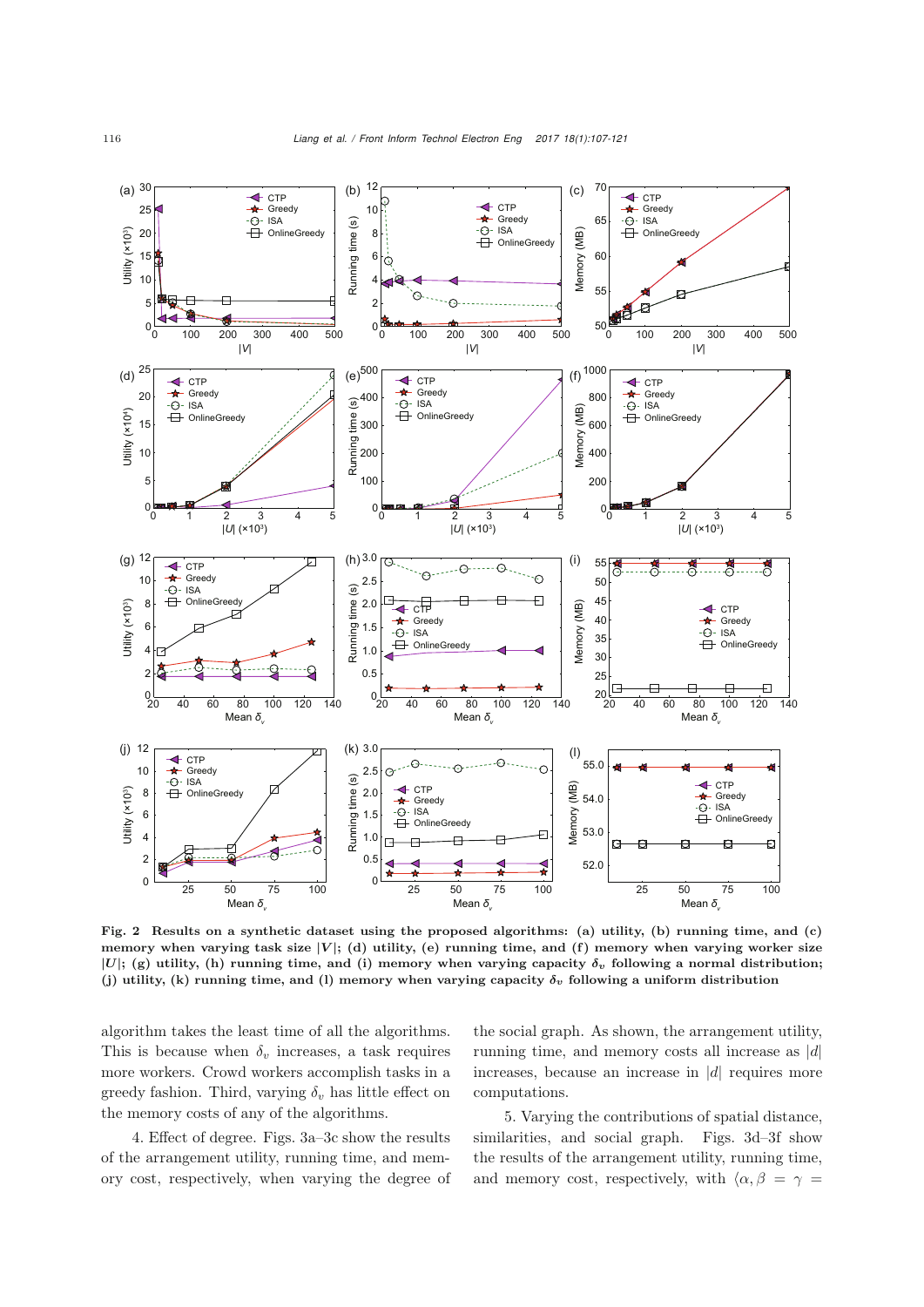

<span id="page-9-0"></span>Fig. 2 Results on a synthetic dataset using the proposed algorithms: (a) utility, (b) running time, and (c) memory when varying task size  $|V|$ ; (d) utility, (e) running time, and (f) memory when varying worker size  $|U|$ ; (g) utility, (h) running time, and (i) memory when varying capacity  $\delta_v$  following a normal distribution; (j) utility, (k) running time, and (l) memory when varying capacity  $\delta_v$  following a uniform distribution

algorithm takes the least time of all the algorithms. This is because when  $\delta_v$  increases, a task requires more workers. Crowd workers accomplish tasks in a greedy fashion. Third, varying  $\delta_v$  has little effect on the memory costs of any of the algorithms.

4. Effect of degree. Figs. [3a–3c](#page-10-0) show the results of the arrangement utility, running time, and memory cost, respectively, when varying the degree of the social graph. As shown, the arrangement utility, running time, and memory costs all increase as  $|d|$ increases, because an increase in  $|d|$  requires more computations.

5. Varying the contributions of spatial distance, similarities, and social graph. Figs. [3d–3f](#page-10-0) show the results of the arrangement utility, running time, and memory cost, respectively, with  $\langle \alpha, \beta \rangle = \gamma$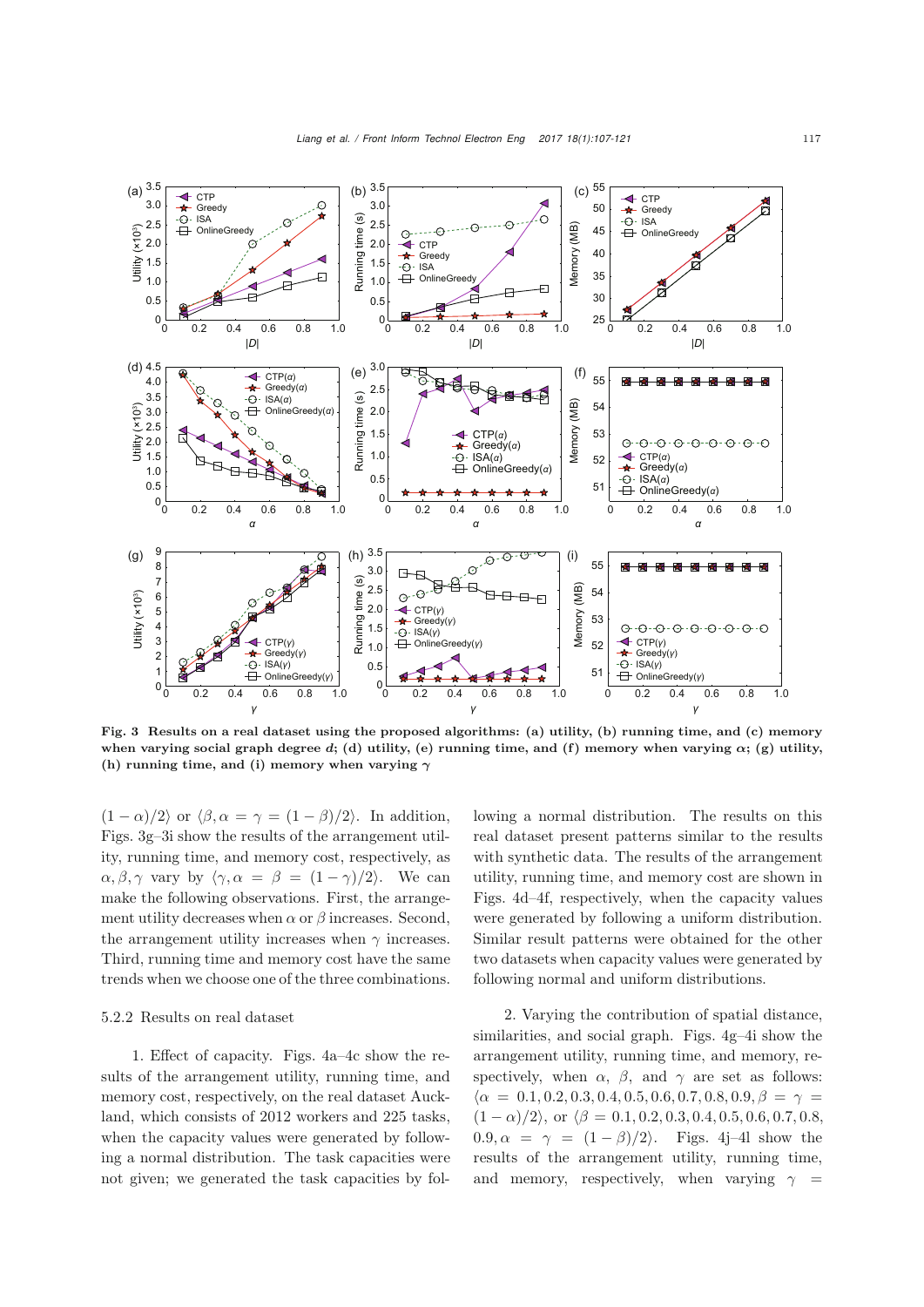

<span id="page-10-0"></span>Fig. 3 Results on a real dataset using the proposed algorithms: (a) utility, (b) running time, and (c) memory when varying social graph degree *d*; (d) utility, (e) running time, and (f ) memory when varying *α*; (g) utility, (h) running time, and (i) memory when varying *γ*

 $(1-\alpha)/2$  or  $\langle \beta, \alpha = \gamma = (1-\beta)/2 \rangle$ . In addition, Figs. [3g–3i](#page-10-0) show the results of the arrangement utility, running time, and memory cost, respectively, as  $\alpha, \beta, \gamma$  vary by  $\langle \gamma, \alpha \rangle = \beta = (1 - \gamma)/2$ . We can make the following observations. First, the arrangement utility decreases when  $\alpha$  or  $\beta$  increases. Second, the arrangement utility increases when  $\gamma$  increases. Third, running time and memory cost have the same trends when we choose one of the three combinations.

#### 5.2.2 Results on real dataset

1. Effect of capacity. Figs. [4a–4c](#page-11-0) show the results of the arrangement utility, running time, and memory cost, respectively, on the real dataset Auckland, which consists of 2012 workers and 225 tasks, when the capacity values were generated by following a normal distribution. The task capacities were not given; we generated the task capacities by following a normal distribution. The results on this real dataset present patterns similar to the results with synthetic data. The results of the arrangement utility, running time, and memory cost are shown in Figs. [4d–4f](#page-11-0), respectively, when the capacity values were generated by following a uniform distribution. Similar result patterns were obtained for the other two datasets when capacity values were generated by following normal and uniform distributions.

2. Varying the contribution of spatial distance, similarities, and social graph. Figs. [4g–4i](#page-11-0) show the arrangement utility, running time, and memory, respectively, when  $\alpha$ ,  $\beta$ , and  $\gamma$  are set as follows:  $\langle \alpha = 0.1, 0.2, 0.3, 0.4, 0.5, 0.6, 0.7, 0.8, 0.9, \beta = \gamma =$ <br> $\langle 1, \alpha \rangle / 2$ ,  $\alpha \rangle / 2$ ,  $\alpha \rangle / 2$ ,  $\alpha \rangle / 2$ ,  $\alpha \rangle / 2$ ,  $\alpha \rangle / 2$  $(1 - \alpha)/2$ , or  $\beta = 0.1, 0.2, 0.3, 0.4, 0.5, 0.6, 0.7, 0.8,$ <br>  $\beta_{1,0}$   $\alpha_{2} = \alpha_{1} - (1 - \beta)/2$ . Figs. 4i. 4l, show the  $0.9, \alpha = \gamma = (1 - \beta)/2$ . Figs. 4j-4l show the results of the arrangement utility, running time, and memory, respectively, when varying  $\gamma$  =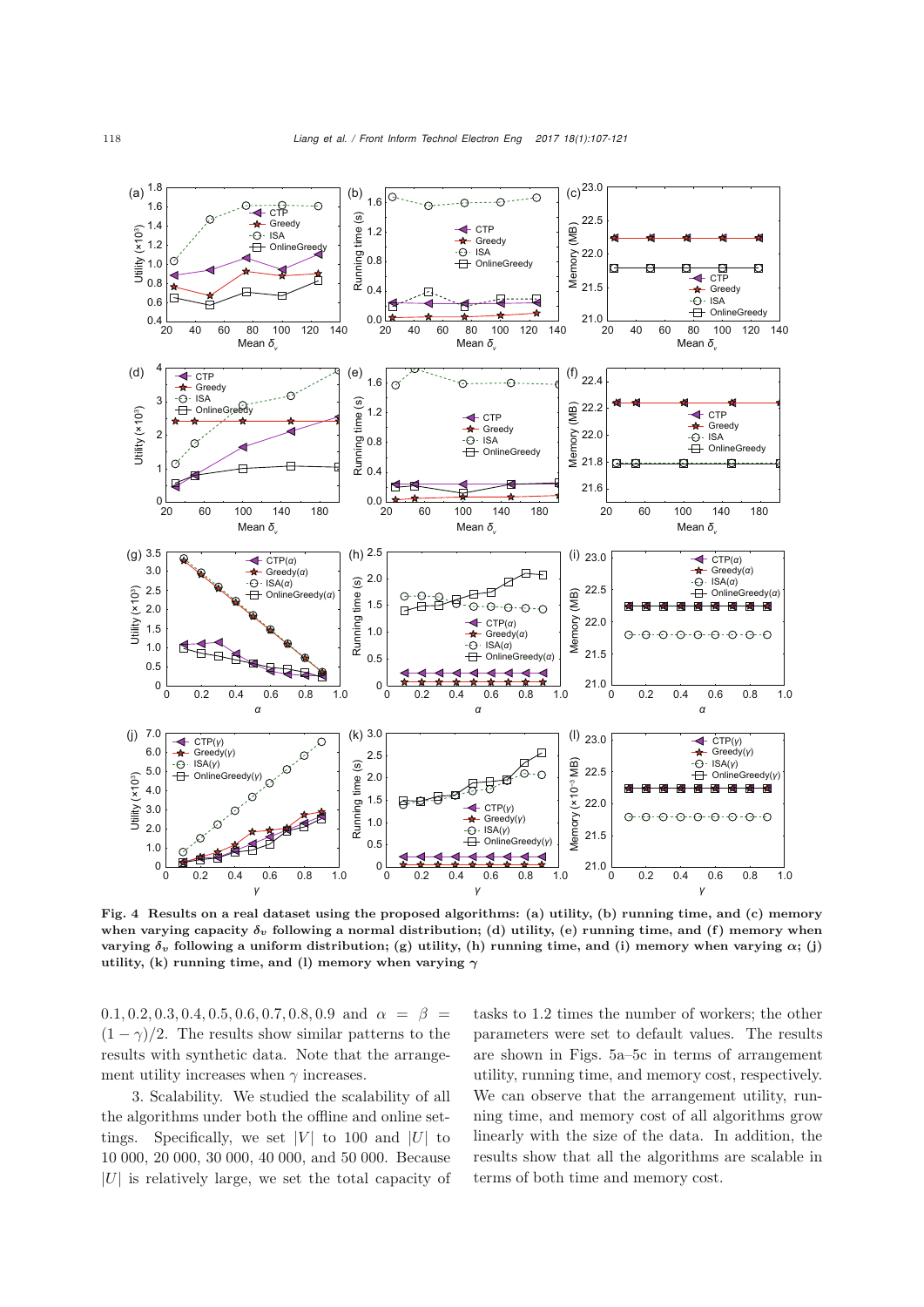

<span id="page-11-0"></span>Fig. 4 Results on a real dataset using the proposed algorithms: (a) utility, (b) running time, and (c) memory when varying capacity  $\delta_v$  following a normal distribution; (d) utility, (e) running time, and (f) memory when varying *δ<sup>v</sup>* following a uniform distribution; (g) utility, (h) running time, and (i) memory when varying *α*; (j) utility, (k) running time, and (l) memory when varying *γ*

 $0.1, 0.2, 0.3, 0.4, 0.5, 0.6, 0.7, 0.8, 0.9$  and  $\alpha = \beta$  $(1 - \gamma)/2$ . The results show similar patterns to the results with synthetic data. Note that the arrangement utility increases when  $\gamma$  increases.

3. Scalability. We studied the scalability of all the algorithms under both the offline and online settings. Specifically, we set |V| to 100 and |U| to 10 000, 20 000, 30 000, 40 000, and 50 000. Because  $|U|$  is relatively large, we set the total capacity of tasks to 1.2 times the number of workers; the other parameters were set to default values. The results are shown in Figs. [5a–5c](#page-12-0) in terms of arrangement utility, running time, and memory cost, respectively. We can observe that the arrangement utility, running time, and memory cost of all algorithms grow linearly with the size of the data. In addition, the results show that all the algorithms are scalable in terms of both time and memory cost.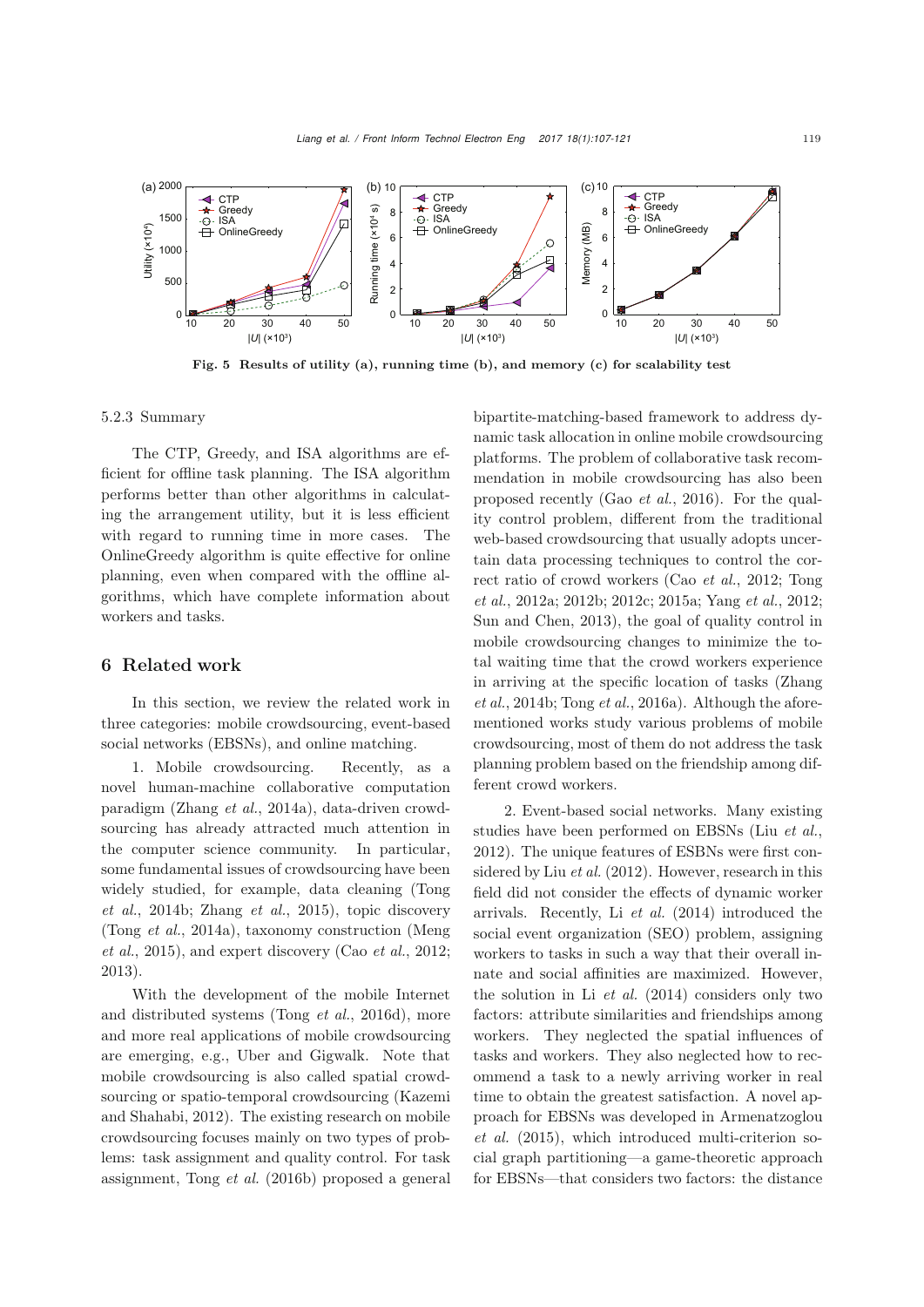

<span id="page-12-0"></span>Fig. 5 Results of utility (a), running time (b), and memory (c) for scalability test

5.2.3 Summary

The CTP, Greedy, and ISA algorithms are efficient for offline task planning. The ISA algorithm performs better than other algorithms in calculating the arrangement utility, but it is less efficient with regard to running time in more cases. The OnlineGreedy algorithm is quite effective for online planning, even when compared with the offline algorithms, which have complete information about workers and tasks.

# 6 Related work

In this section, we review the related work in three categories: mobile crowdsourcing, event-based social networks (EBSNs), and online matching.

1. Mobile crowdsourcing. Recently, as a novel human-machine collaborative computation paradigm [\(Zhang](#page-14-9) *et al.*, [2014a\)](#page-14-9), data-driven crowdsourcing has already attracted much attention in the computer science community. In particular, some fundamental issues of crowdsourcing have been widel[y](#page-14-10) [studied,](#page-14-10) [for](#page-14-10) [example,](#page-14-10) [data](#page-14-10) [cleaning](#page-14-10) [\(](#page-14-10)Tong *et al.*, [2014b;](#page-14-10) [Zhang](#page-14-11) *et al.*, [2015](#page-14-11)), topic discovery [\(Tong](#page-14-12) *et al.*[,](#page-14-13) [2014a](#page-14-12)[\),](#page-14-13) [taxonomy](#page-14-13) [construction](#page-14-13) [\(](#page-14-13)Meng *et al.*, [2015\)](#page-14-13), and expert discovery (Cao *[et al.](#page-13-1)*, [2012;](#page-13-1) [2013](#page-13-2)).

With the development of the mobile Internet and distributed systems [\(Tong](#page-14-14) *et al.*, [2016d](#page-14-14)), more and more real applications of mobile crowdsourcing are emerging, e.g., Uber and Gigwalk. Note that mobile crowdsourcing is also called spatial crowdsourcing or [spatio-temporal](#page-14-15) [crowdsourcing](#page-14-15) [\(](#page-14-15)Kazemi and Shahabi, [2012](#page-14-15)). The existing research on mobile crowdsourcing focuses mainly on two types of problems: task assignment and quality control. For task assignment, [Tong](#page-14-3) *et al.* [\(2016b\)](#page-14-3) proposed a general

bipartite-matching-based framework to address dynamic task allocation in online mobile crowdsourcing platforms. The problem of collaborative task recommendation in mobile crowdsourcing has also been proposed recently (Gao *[et al.](#page-13-3)*, [2016\)](#page-13-3). For the quality control problem, different from the traditional web-based crowdsourcing that usually adopts uncertain data processing techniques to control the correct ratio of crowd workers (Cao *et al.*, 2012; Tong *et al.*, 2012a; 2012b; 2012c; 2015a; Yang *et al.*, 2012; Sun and Chen, 2013), the goal of quality control in mobile crowdsourcing changes to minimize the total waiting time that the crowd workers experience in a[rriving](#page-14-16) [at](#page-14-16) [the](#page-14-16) [specific](#page-14-16) [location](#page-14-16) [of](#page-14-16) [tasks](#page-14-16) [\(](#page-14-16)Zhang *et al.*, [2014b;](#page-14-16) [Tong](#page-14-17) *et al.*, [2016a](#page-14-17)). Although the aforementioned works study various problems of mobile crowdsourcing, most of them do not address the task planning problem based on the friendship among different crowd workers.

2. Event-based social networks. Many existing studies have been performed on EBSNs (Liu *[et al.](#page-14-7)*, [2012](#page-14-7)). The unique features of ESBNs were first considered by Liu *[et al.](#page-14-7)* [\(2012\)](#page-14-7). However, research in this field did not consider the effects of dynamic worker arrivals. Recently, Li *[et al.](#page-14-18)* [\(2014](#page-14-18)) introduced the social event organization (SEO) problem, assigning workers to tasks in such a way that their overall innate and social affinities are maximized. However, the solution in Li *[et al.](#page-14-18)* [\(2014\)](#page-14-18) considers only two factors: attribute similarities and friendships among workers. They neglected the spatial influences of tasks and workers. They also neglected how to recommend a task to a newly arriving worker in real time to obtain the greatest satisfaction. A novel approa[ch](#page-13-4) [for](#page-13-4) [EBSNs](#page-13-4) [was](#page-13-4) [developed](#page-13-4) [in](#page-13-4) Armenatzoglou *et al.* [\(2015](#page-13-4)), which introduced multi-criterion social graph partitioning—a game-theoretic approach for EBSNs—that considers two factors: the distance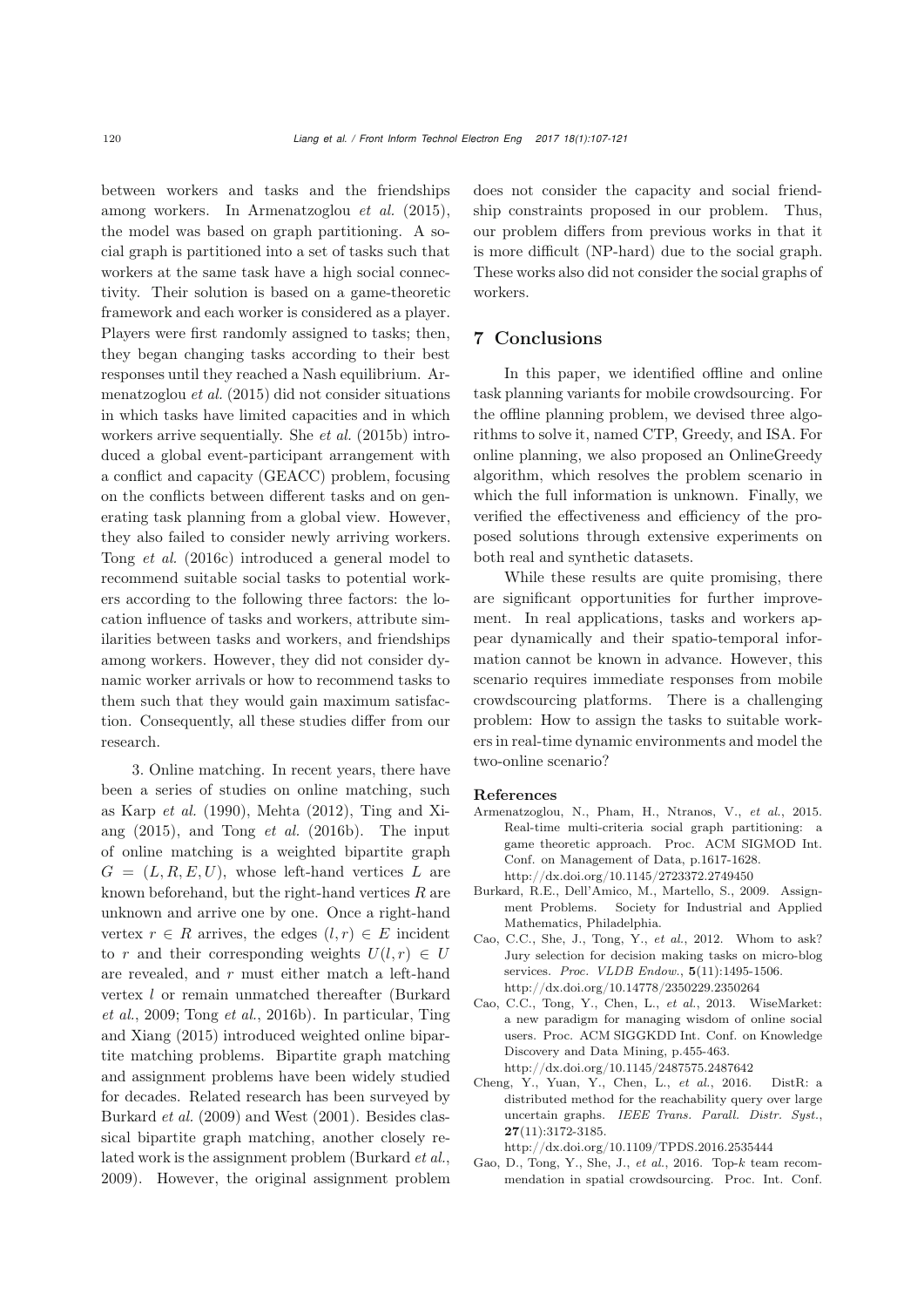between workers and tasks and the friendships among workers. In [Armenatzoglou](#page-13-4) *et al.* [\(2015\)](#page-13-4), the model was based on graph partitioning. A social graph is partitioned into a set of tasks such that workers at the same task have a high social connectivity. Their solution is based on a game-theoretic framework and each worker is considered as a player. Players were first randomly assigned to tasks; then, they began changing tasks according to their best responses until th[ey](#page-13-4) [reached](#page-13-4) [a](#page-13-4) [Nash](#page-13-4) [equilibrium.](#page-13-4) Armenatzoglou *et al.* [\(2015](#page-13-4)) did not consider situations in which tasks have limited capacities and in which workers arrive sequentially. She *[et al.](#page-14-8)* [\(2015b](#page-14-8)) introduced a global event-participant arrangement with a conflict and capacity (GEACC) problem, focusing on the conflicts between different tasks and on generating task planning from a global view. However, they also failed to consider newly arriving workers. [Tong](#page-14-19) *et al.* [\(2016c](#page-14-19)) introduced a general model to recommend suitable social tasks to potential workers according to the following three factors: the location influence of tasks and workers, attribute similarities between tasks and workers, and friendships among workers. However, they did not consider dynamic worker arrivals or how to recommend tasks to them such that they would gain maximum satisfaction. Consequently, all these studies differ from our research.

3. Online matching. In recent years, there have been a series of studies on online matching, such as [Karp](#page-14-20) *et al.* [\(1990](#page-14-20)[\),](#page-14-22) [Mehta](#page-14-21) [\(2012](#page-14-21)[\),](#page-14-22) Ting and Xiang [\(2015\)](#page-14-22), and [Tong](#page-14-3) *et al.* [\(2016b](#page-14-3)). The input of online matching is a weighted bipartite graph  $G = (L, R, E, U)$ , whose left-hand vertices L are known beforehand, but the right-hand vertices  $R$  are unknown and arrive one by one. Once a right-hand vertex  $r \in R$  arrives, the edges  $(l, r) \in E$  incident to r and their corresponding weights  $U(l, r) \in U$ are revealed, and  $r$  must either match a left-hand vertex l [or](#page-13-5) [remain](#page-13-5) [unmatched](#page-13-5) [thereafter](#page-13-5) [\(](#page-13-5)Burkard *et al.*, [2009](#page-13-5); [Tong](#page-14-3) *et al.*[,](#page-14-22) [2016b](#page-14-3)[\).](#page-14-22) [In](#page-14-22) [particular,](#page-14-22) Ting and Xiang [\(2015](#page-14-22)) introduced weighted online bipartite matching problems. Bipartite graph matching and assignment problems have been widely studied for decades. Related research has been surveyed by [Burkard](#page-13-5) *et al.* [\(2009\)](#page-13-5) and [West](#page-14-23) [\(2001](#page-14-23)). Besides classical bipartite graph matching, another closely related work is the assignment problem [\(Burkard](#page-13-5) *et al.*, [2009](#page-13-5)). However, the original assignment problem

does not consider the capacity and social friendship constraints proposed in our problem. Thus, our problem differs from previous works in that it is more difficult (NP-hard) due to the social graph. These works also did not consider the social graphs of workers.

## 7 Conclusions

In this paper, we identified offline and online task planning variants for mobile crowdsourcing. For the offline planning problem, we devised three algorithms to solve it, named CTP, Greedy, and ISA. For online planning, we also proposed an OnlineGreedy algorithm, which resolves the problem scenario in which the full information is unknown. Finally, we verified the effectiveness and efficiency of the proposed solutions through extensive experiments on both real and synthetic datasets.

While these results are quite promising, there are significant opportunities for further improvement. In real applications, tasks and workers appear dynamically and their spatio-temporal information cannot be known in advance. However, this scenario requires immediate responses from mobile crowdscourcing platforms. There is a challenging problem: How to assign the tasks to suitable workers in real-time dynamic environments and model the two-online scenario?

#### References

- <span id="page-13-4"></span>Armenatzoglou, N., Pham, H., Ntranos, V., *et al.*, 2015. Real-time multi-criteria social graph partitioning: a game theoretic approach. Proc. ACM SIGMOD Int. Conf. on Management of Data, p.1617-1628. http://dx.doi.org/10.1145/2723372.2749450
- <span id="page-13-5"></span>Burkard, R.E., Dell'Amico, M., Martello, S., 2009. Assignment Problems. Society for Industrial and Applied Mathematics, Philadelphia.
- <span id="page-13-1"></span>Cao, C.C., She, J., Tong, Y., *et al.*, 2012. Whom to ask? Jury selection for decision making tasks on micro-blog services. *Proc. VLDB Endow.*, 5(11):1495-1506. http://dx.doi.org/10.14778/2350229.2350264
- <span id="page-13-2"></span>Cao, C.C., Tong, Y., Chen, L., *et al.*, 2013. WiseMarket: a new paradigm for managing wisdom of online social users. Proc. ACM SIGGKDD Int. Conf. on Knowledge Discovery and Data Mining, p.455-463. http://dx.doi.org/10.1145/2487575.2487642
- <span id="page-13-0"></span>Cheng, Y., Yuan, Y., Chen, L., *et al.*, 2016. DistR: a distributed method for the reachability query over large uncertain graphs. *IEEE Trans. Parall. Distr. Syst.*, 27(11):3172-3185.

http://dx.doi.org/10.1109/TPDS.2016.2535444

<span id="page-13-3"></span>Gao, D., Tong, Y., She, J., *et al.*, 2016. Top-k team recommendation in spatial crowdsourcing. Proc. Int. Conf.